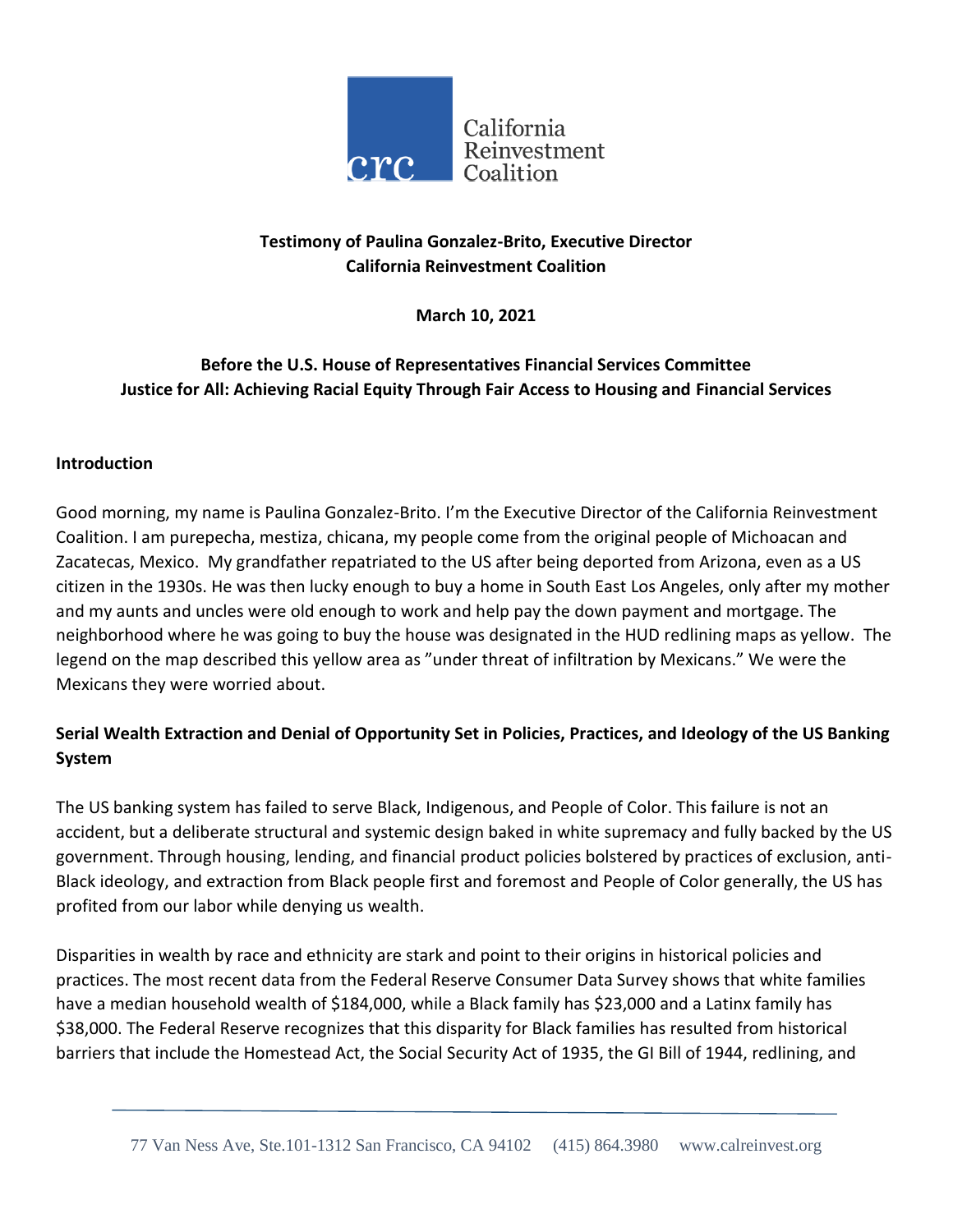

## **Testimony of Paulina Gonzalez-Brito, Executive Director California Reinvestment Coalition**

**March 10, 2021**

# **Before the U.S. House of Representatives Financial Services Committee Justice for All: Achieving Racial Equity Through Fair Access to Housing and Financial Services**

#### **Introduction**

Good morning, my name is Paulina Gonzalez-Brito. I'm the Executive Director of the California Reinvestment Coalition. I am purepecha, mestiza, chicana, my people come from the original people of Michoacan and Zacatecas, Mexico. My grandfather repatriated to the US after being deported from Arizona, even as a US citizen in the 1930s. He was then lucky enough to buy a home in South East Los Angeles, only after my mother and my aunts and uncles were old enough to work and help pay the down payment and mortgage. The neighborhood where he was going to buy the house was designated in the HUD redlining maps as yellow. The legend on the map described this yellow area as "under threat of infiltration by Mexicans." We were the Mexicans they were worried about.

# **Serial Wealth Extraction and Denial of Opportunity Set in Policies, Practices, and Ideology of the US Banking System**

The US banking system has failed to serve Black, Indigenous, and People of Color. This failure is not an accident, but a deliberate structural and systemic design baked in white supremacy and fully backed by the US government. Through housing, lending, and financial product policies bolstered by practices of exclusion, anti-Black ideology, and extraction from Black people first and foremost and People of Color generally, the US has profited from our labor while denying us wealth.

Disparities in wealth by race and ethnicity are stark and point to their origins in historical policies and practices. The most recent data from the Federal Reserve Consumer Data Survey shows that white families have a median household wealth of \$184,000, while a Black family has \$23,000 and a Latinx family has \$38,000. The Federal Reserve recognizes that this disparity for Black families has resulted from historical barriers that include the Homestead Act, the Social Security Act of 1935, the GI Bill of 1944, redlining, and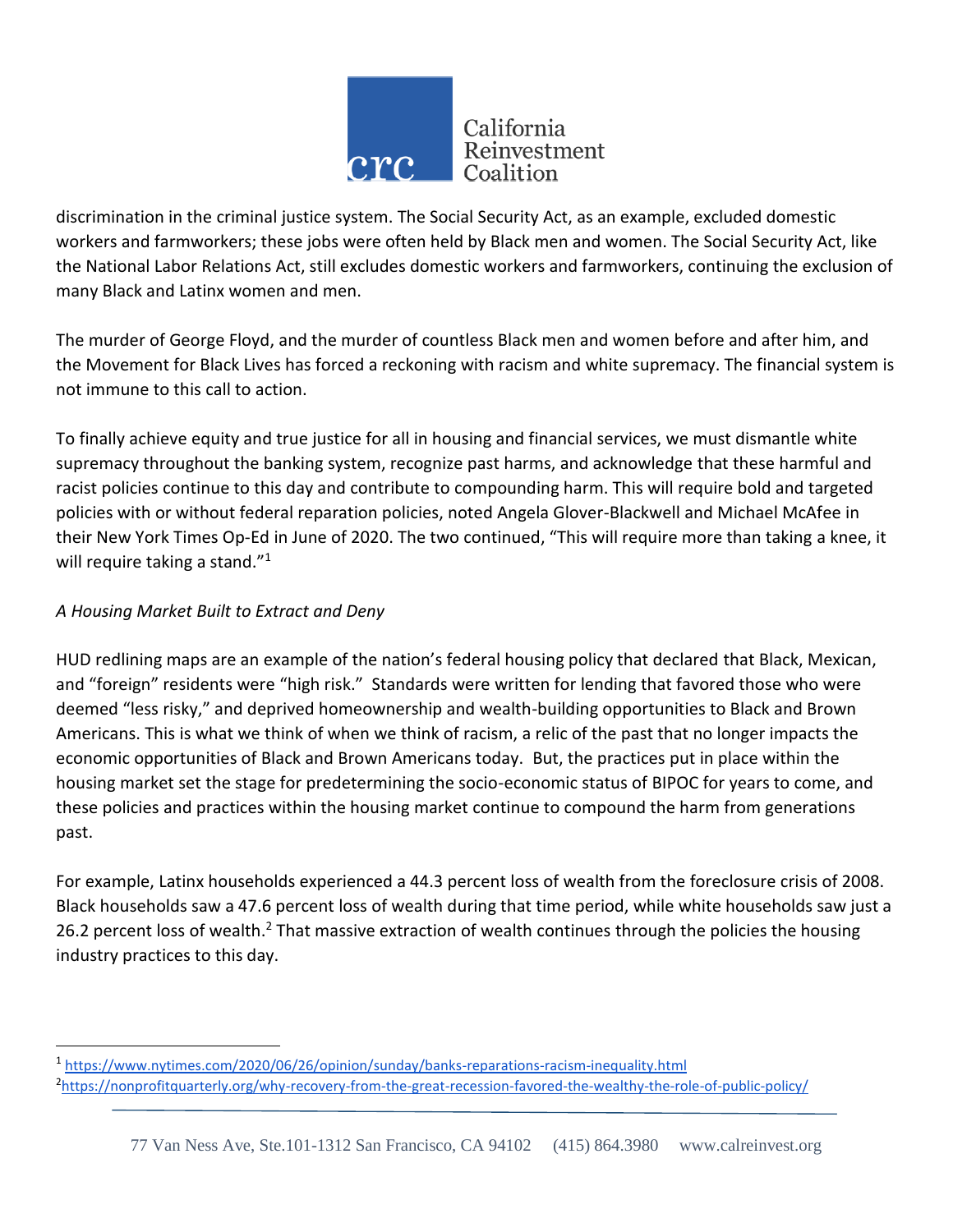

discrimination in the criminal justice system. The Social Security Act, as an example, excluded domestic workers and farmworkers; these jobs were often held by Black men and women. The Social Security Act, like the National Labor Relations Act, still excludes domestic workers and farmworkers, continuing the exclusion of many Black and Latinx women and men.

The murder of George Floyd, and the murder of countless Black men and women before and after him, and the Movement for Black Lives has forced a reckoning with racism and white supremacy. The financial system is not immune to this call to action.

To finally achieve equity and true justice for all in housing and financial services, we must dismantle white supremacy throughout the banking system, recognize past harms, and acknowledge that these harmful and racist policies continue to this day and contribute to compounding harm. This will require bold and targeted policies with or without federal reparation policies, noted Angela Glover-Blackwell and Michael McAfee in their New York Times Op-Ed in June of 2020. The two continued, "This will require more than taking a knee, it will require taking a stand."<sup>1</sup>

## *A Housing Market Built to Extract and Deny*

 $\overline{\phantom{a}}$ 

HUD redlining maps are an example of the nation's federal housing policy that declared that Black, Mexican, and "foreign" residents were "high risk." Standards were written for lending that favored those who were deemed "less risky," and deprived homeownership and wealth-building opportunities to Black and Brown Americans. This is what we think of when we think of racism, a relic of the past that no longer impacts the economic opportunities of Black and Brown Americans today. But, the practices put in place within the housing market set the stage for predetermining the socio-economic status of BIPOC for years to come, and these policies and practices within the housing market continue to compound the harm from generations past.

For example, Latinx households experienced a 44.3 percent loss of wealth from the foreclosure crisis of 2008. Black households saw a 47.6 percent loss of wealth during that time period, while white households saw just a 26.2 percent loss of wealth.<sup>2</sup> That massive extraction of wealth continues through the policies the housing industry practices to this day.

<sup>1</sup> <https://www.nytimes.com/2020/06/26/opinion/sunday/banks-reparations-racism-inequality.html> <sup>2</sup><https://nonprofitquarterly.org/why-recovery-from-the-great-recession-favored-the-wealthy-the-role-of-public-policy/>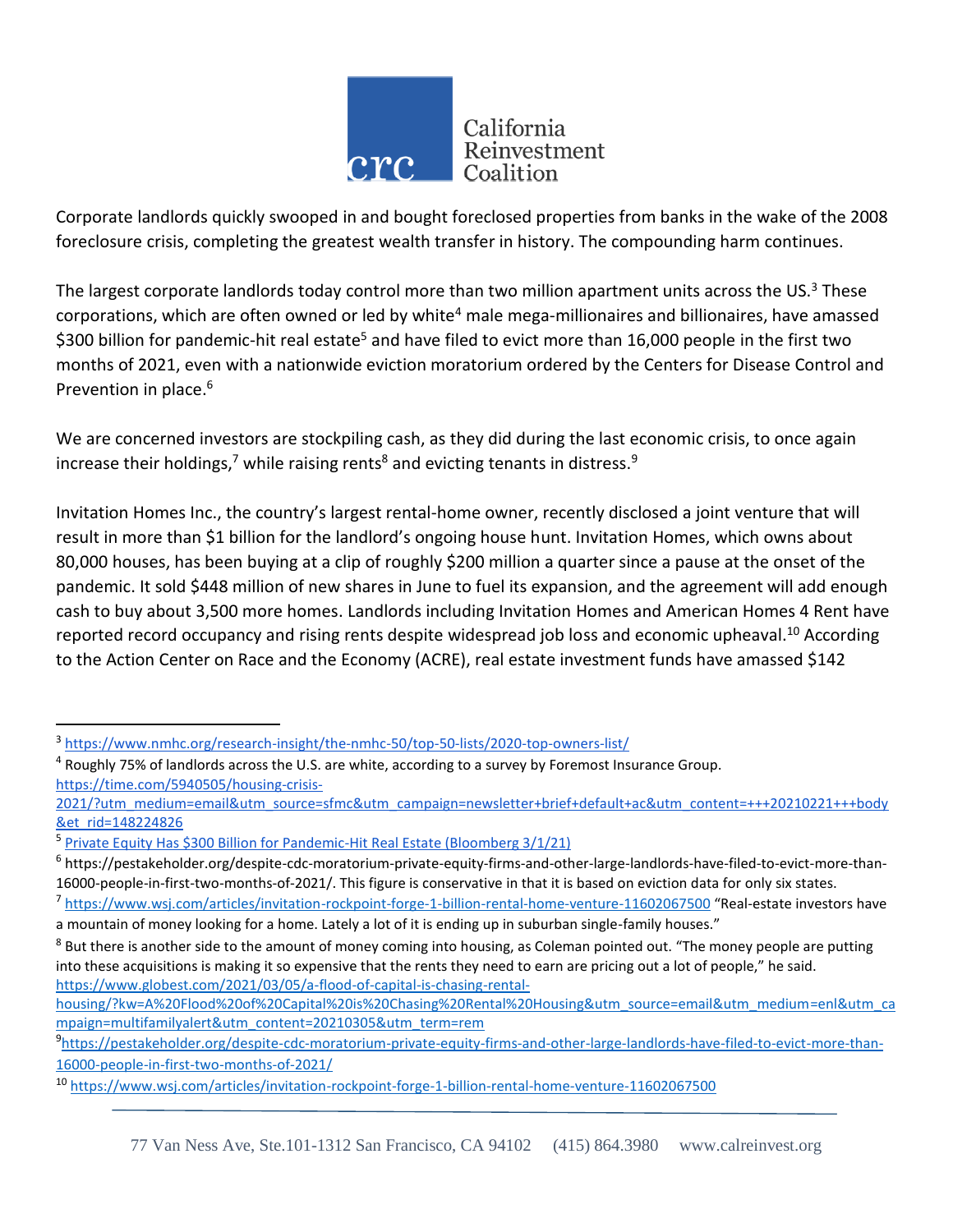

Corporate landlords quickly swooped in and bought foreclosed properties from banks in the wake of the 2008 foreclosure crisis, completing the greatest wealth transfer in history. The compounding harm continues.

The largest corporate landlords today control more than two million apartment units across the US.<sup>3</sup> These corporations, which are often owned or led by white<sup>4</sup> male mega-millionaires and billionaires, have amassed \$300 billion for pandemic-hit real estate<sup>5</sup> and have filed to evict more than 16,000 people in the first two months of 2021, even with a nationwide eviction moratorium ordered by the Centers for Disease Control and Prevention in place.<sup>6</sup>

We are concerned investors are stockpiling cash, as they did during the last economic crisis, to once again increase their holdings,<sup>7</sup> while raising rents<sup>8</sup> and evicting tenants in distress.<sup>9</sup>

Invitation Homes Inc., the country's largest rental-home owner, recently disclosed a joint venture that will result in more than \$1 billion for the landlord's ongoing house hunt. Invitation Homes, which owns about 80,000 houses, has been buying at a clip of roughly \$200 million a quarter since a pause at the onset of the pandemic. It sold \$448 million of new shares in June to fuel its expansion, and the agreement will add enough cash to buy about 3,500 more homes. Landlords including Invitation Homes and American Homes 4 Rent have reported record occupancy and rising rents despite widespread job loss and economic upheaval.<sup>10</sup> According to the Action Center on Race and the Economy (ACRE), real estate investment funds have amassed \$142

<sup>3</sup> <https://www.nmhc.org/research-insight/the-nmhc-50/top-50-lists/2020-top-owners-list/>

 $<sup>4</sup>$  Roughly 75% of landlords across the U.S. are white, according to a survey by Foremost Insurance Group.</sup> [https://time.com/5940505/housing-crisis-](https://time.com/5940505/housing-crisis-2021/?utm_medium=email&utm_source=sfmc&utm_campaign=newsletter+brief+default+ac&utm_content=+++20210221+++body&et_rid=148224826)

[<sup>2021/?</sup>utm\\_medium=email&utm\\_source=sfmc&utm\\_campaign=newsletter+brief+default+ac&utm\\_content=+++20210221+++body](https://time.com/5940505/housing-crisis-2021/?utm_medium=email&utm_source=sfmc&utm_campaign=newsletter+brief+default+ac&utm_content=+++20210221+++body&et_rid=148224826) &et\_rid=148224826

<sup>&</sup>lt;sup>5</sup> [Private Equity Has \\$300 Billion for Pandemic-Hit Real Estate \(Bloomberg 3/1/21\)](https://www.bloomberg.com/news/articles/2021-03-01/private-equity-has-300-billion-war-chest-for-covid-hit-property?sref=f7rH2jWS)

<sup>6</sup> [https://pestakeholder.org/despite-cdc-moratorium-private-equity-firms-and-other-large-landlords-have-filed-to-evict-more-than-](https://pestakeholder.org/despite-cdc-moratorium-private-equity-firms-and-other-large-landlords-have-filed-to-evict-more-than-16000-people-in-first-two-months-of-2021/)[16000-people-in-first-two-months-of-2021/.](https://pestakeholder.org/despite-cdc-moratorium-private-equity-firms-and-other-large-landlords-have-filed-to-evict-more-than-16000-people-in-first-two-months-of-2021/) This figure is conservative in that it is based on eviction data for only six states.

<sup>&</sup>lt;sup>7</sup> <https://www.wsj.com/articles/invitation-rockpoint-forge-1-billion-rental-home-venture-11602067500> "Real-estate investors have a mountain of money looking for a home. Lately a lot of it is ending up in suburban single-family houses."

 $8$  But there is another side to the amount of money coming into housing, as Coleman pointed out. "The money people are putting into these acquisitions is making it so expensive that the rents they need to earn are pricing out a lot of people," he said. [https://www.globest.com/2021/03/05/a-flood-of-capital-is-chasing-rental-](https://www.globest.com/2021/03/05/a-flood-of-capital-is-chasing-rental-housing/?kw=A%20Flood%20of%20Capital%20is%20Chasing%20Rental%20Housing&utm_source=email&utm_medium=enl&utm_campaign=multifamilyalert&utm_content=20210305&utm_term=rem)

[housing/?kw=A%20Flood%20of%20Capital%20is%20Chasing%20Rental%20Housing&utm\\_source=email&utm\\_medium=enl&utm\\_ca](https://www.globest.com/2021/03/05/a-flood-of-capital-is-chasing-rental-housing/?kw=A%20Flood%20of%20Capital%20is%20Chasing%20Rental%20Housing&utm_source=email&utm_medium=enl&utm_campaign=multifamilyalert&utm_content=20210305&utm_term=rem) [mpaign=multifamilyalert&utm\\_content=20210305&utm\\_term=rem](https://www.globest.com/2021/03/05/a-flood-of-capital-is-chasing-rental-housing/?kw=A%20Flood%20of%20Capital%20is%20Chasing%20Rental%20Housing&utm_source=email&utm_medium=enl&utm_campaign=multifamilyalert&utm_content=20210305&utm_term=rem)

<sup>9</sup> [https://pestakeholder.org/despite-cdc-moratorium-private-equity-firms-and-other-large-landlords-have-filed-to-evict-more-than-](https://pestakeholder.org/despite-cdc-moratorium-private-equity-firms-and-other-large-landlords-have-filed-to-evict-more-than-16000-people-in-first-two-months-of-2021/)[16000-people-in-first-two-months-of-2021/](https://pestakeholder.org/despite-cdc-moratorium-private-equity-firms-and-other-large-landlords-have-filed-to-evict-more-than-16000-people-in-first-two-months-of-2021/)

<sup>10</sup> <https://www.wsj.com/articles/invitation-rockpoint-forge-1-billion-rental-home-venture-11602067500>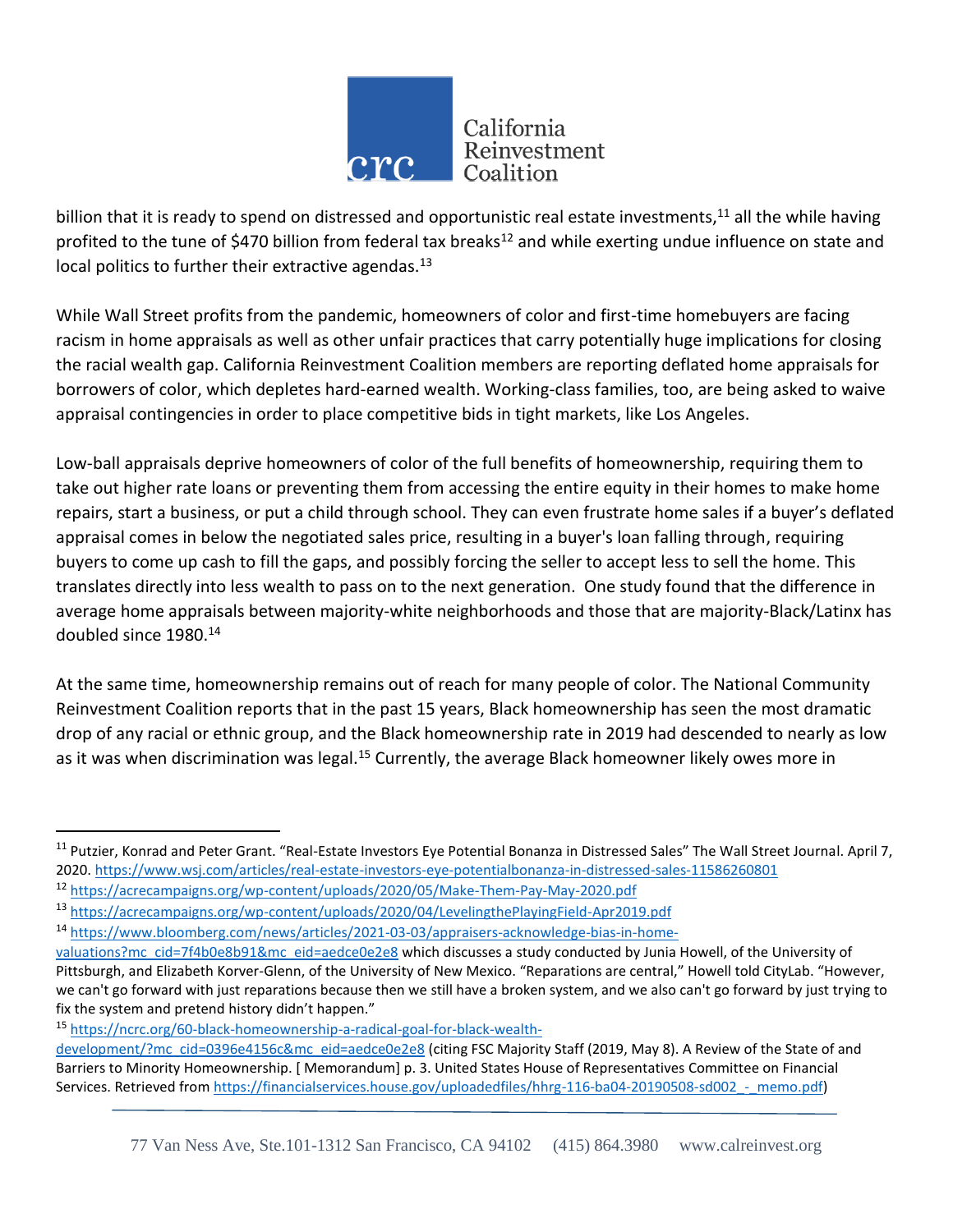

billion that it is ready to spend on distressed and opportunistic real estate investments,<sup>11</sup> all the while having profited to the tune of \$470 billion from federal tax breaks<sup>12</sup> and while exerting undue influence on state and local politics to further their extractive agendas. $^{13}$ 

While Wall Street profits from the pandemic, homeowners of color and first-time homebuyers are facing racism in home appraisals as well as other unfair practices that carry potentially huge implications for closing the racial wealth gap. California Reinvestment Coalition members are reporting deflated home appraisals for borrowers of color, which depletes hard-earned wealth. Working-class families, too, are being asked to waive appraisal contingencies in order to place competitive bids in tight markets, like Los Angeles.

Low-ball appraisals deprive homeowners of color of the full benefits of homeownership, requiring them to take out higher rate loans or preventing them from accessing the entire equity in their homes to make home repairs, start a business, or put a child through school. They can even frustrate home sales if a buyer's deflated appraisal comes in below the negotiated sales price, resulting in a buyer's loan falling through, requiring buyers to come up cash to fill the gaps, and possibly forcing the seller to accept less to sell the home. This translates directly into less wealth to pass on to the next generation. One study found that the difference in average home appraisals between majority-white neighborhoods and those that are majority-Black/Latinx has doubled since 1980.<sup>14</sup>

At the same time, homeownership remains out of reach for many people of color. The National Community Reinvestment Coalition reports that in the past 15 years, Black homeownership has seen the most dramatic drop of any racial or ethnic group, and the Black homeownership rate in 2019 had descended to nearly as low as it was when discrimination was legal.<sup>15</sup> Currently, the average Black homeowner likely owes more in

<sup>&</sup>lt;sup>11</sup> Putzier, Konrad and Peter Grant. "Real-Estate Investors Eye Potential Bonanza in Distressed Sales" The Wall Street Journal. April 7, 2020.<https://www.wsj.com/articles/real-estate-investors-eye-potentialbonanza-in-distressed-sales-11586260801>

<sup>12</sup> <https://acrecampaigns.org/wp-content/uploads/2020/05/Make-Them-Pay-May-2020.pdf>

<sup>13</sup> <https://acrecampaigns.org/wp-content/uploads/2020/04/LevelingthePlayingField-Apr2019.pdf>

<sup>14</sup> [https://www.bloomberg.com/news/articles/2021-03-03/appraisers-acknowledge-bias-in-home-](https://www.bloomberg.com/news/articles/2021-03-03/appraisers-acknowledge-bias-in-home-valuations?mc_cid=7f4b0e8b91&mc_eid=aedce0e2e8)

[valuations?mc\\_cid=7f4b0e8b91&mc\\_eid=aedce0e2e8](https://www.bloomberg.com/news/articles/2021-03-03/appraisers-acknowledge-bias-in-home-valuations?mc_cid=7f4b0e8b91&mc_eid=aedce0e2e8) which discusses a study conducted by Junia Howell, of the University of Pittsburgh, and Elizabeth Korver-Glenn, of the University of New Mexico. "Reparations are central," Howell told CityLab. "However, we can't go forward with just reparations because then we still have a broken system, and we also can't go forward by just trying to fix the system and pretend history didn't happen."

<sup>15</sup> [https://ncrc.org/60-black-homeownership-a-radical-goal-for-black-wealth-](https://ncrc.org/60-black-homeownership-a-radical-goal-for-black-wealth-development/?mc_cid=0396e4156c&mc_eid=aedce0e2e8)

[development/?mc\\_cid=0396e4156c&mc\\_eid=aedce0e2e8](https://ncrc.org/60-black-homeownership-a-radical-goal-for-black-wealth-development/?mc_cid=0396e4156c&mc_eid=aedce0e2e8) (citing FSC Majority Staff (2019, May 8). A Review of the State of and Barriers to Minority Homeownership. [ Memorandum] p. 3. United States House of Representatives Committee on Financial Services. Retrieved from https://financialservices.house.gov/uploadedfiles/hhrg-116-ba04-20190508-sd002 - memo.pdf)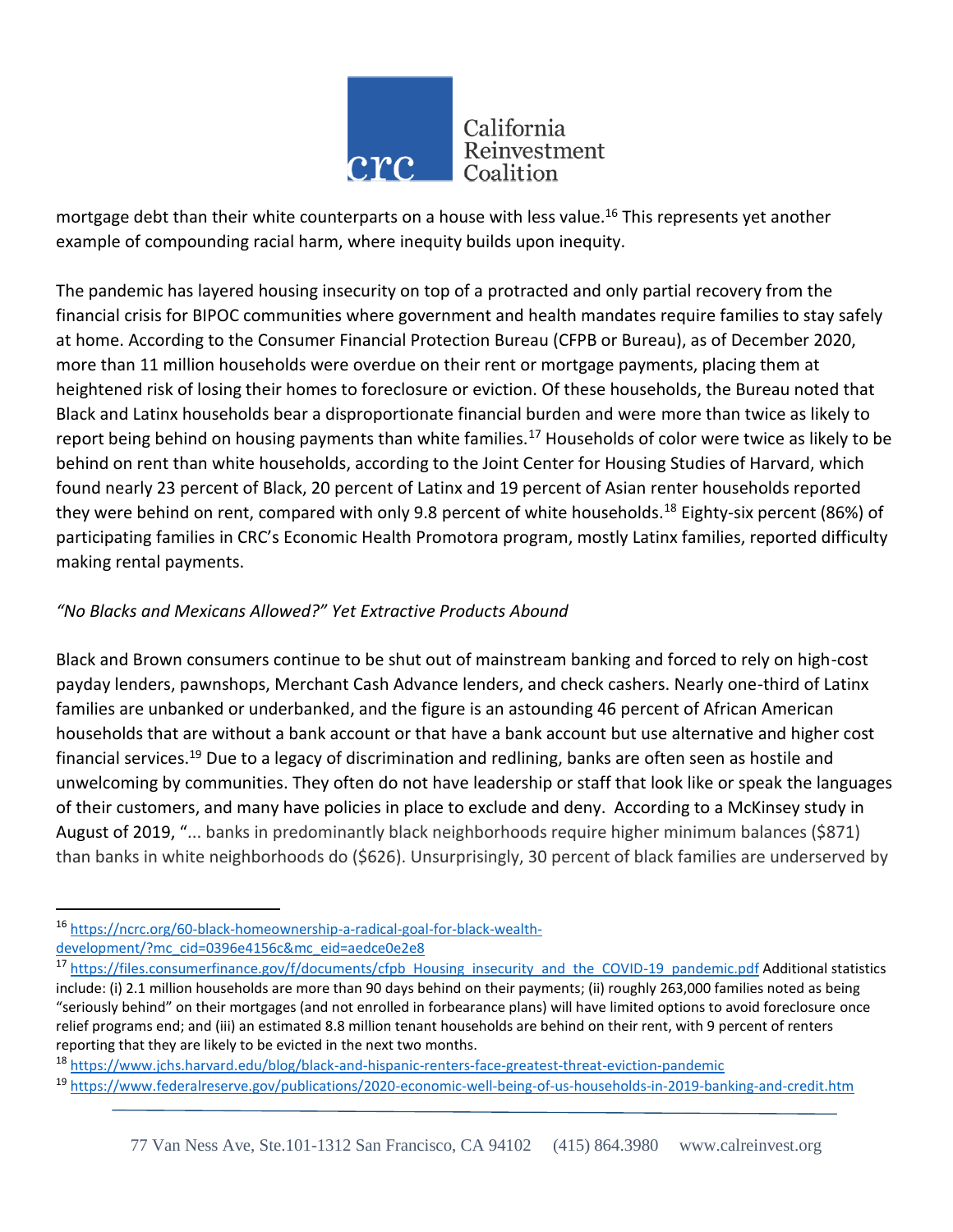

mortgage debt than their white counterparts on a house with less value.<sup>16</sup> This represents yet another example of compounding racial harm, where inequity builds upon inequity.

The pandemic has layered housing insecurity on top of a protracted and only partial recovery from the financial crisis for BIPOC communities where government and health mandates require families to stay safely at home. According to the Consumer Financial Protection Bureau (CFPB or Bureau), as of December 2020, more than 11 million households were overdue on their rent or mortgage payments, placing them at heightened risk of losing their homes to foreclosure or eviction. Of these households, the Bureau noted that Black and Latinx households bear a disproportionate financial burden and were more than twice as likely to report being behind on housing payments than white families.<sup>17</sup> Households of color were twice as likely to be behind on rent than white households, according to the Joint Center for Housing Studies of Harvard, which found nearly 23 percent of Black, 20 percent of Latinx and 19 percent of Asian renter households reported they were behind on rent, compared with only 9.8 percent of white households.<sup>18</sup> Eighty-six percent (86%) of participating families in CRC's Economic Health Promotora program, mostly Latinx families, reported difficulty making rental payments.

## *"No Blacks and Mexicans Allowed?" Yet Extractive Products Abound*

Black and Brown consumers continue to be shut out of mainstream banking and forced to rely on high-cost payday lenders, pawnshops, Merchant Cash Advance lenders, and check cashers. Nearly one-third of Latinx families are unbanked or underbanked, and the figure is an astounding 46 percent of African American households that are without a bank account or that have a bank account but use alternative and higher cost financial services.<sup>19</sup> Due to a legacy of discrimination and redlining, banks are often seen as hostile and unwelcoming by communities. They often do not have leadership or staff that look like or speak the languages of their customers, and many have policies in place to exclude and deny. According to a McKinsey study in August of 2019, "... banks in predominantly black neighborhoods require higher minimum balances (\$871) than banks in white neighborhoods do (\$626). Unsurprisingly, 30 percent of black families are underserved by

l <sup>16</sup> [https://ncrc.org/60-black-homeownership-a-radical-goal-for-black-wealth](https://ncrc.org/60-black-homeownership-a-radical-goal-for-black-wealth-development/?mc_cid=0396e4156c&mc_eid=aedce0e2e8)[development/?mc\\_cid=0396e4156c&mc\\_eid=aedce0e2e8](https://ncrc.org/60-black-homeownership-a-radical-goal-for-black-wealth-development/?mc_cid=0396e4156c&mc_eid=aedce0e2e8)

<sup>17</sup> [https://files.consumerfinance.gov/f/documents/cfpb\\_Housing\\_insecurity\\_and\\_the\\_COVID-19\\_pandemic.pdf](https://files.consumerfinance.gov/f/documents/cfpb_Housing_insecurity_and_the_COVID-19_pandemic.pdf) Additional statistics include: (i) 2.1 million households are more than 90 days behind on their payments; (ii) roughly 263,000 families noted as being "seriously behind" on their mortgages (and not enrolled in forbearance plans) will have limited options to avoid foreclosure once relief programs end; and (iii) an estimated 8.8 million tenant households are behind on their rent, with 9 percent of renters reporting that they are likely to be evicted in the next two months.

<sup>&</sup>lt;sup>18</sup> <https://www.jchs.harvard.edu/blog/black-and-hispanic-renters-face-greatest-threat-eviction-pandemic>

<sup>19</sup> <https://www.federalreserve.gov/publications/2020-economic-well-being-of-us-households-in-2019-banking-and-credit.htm>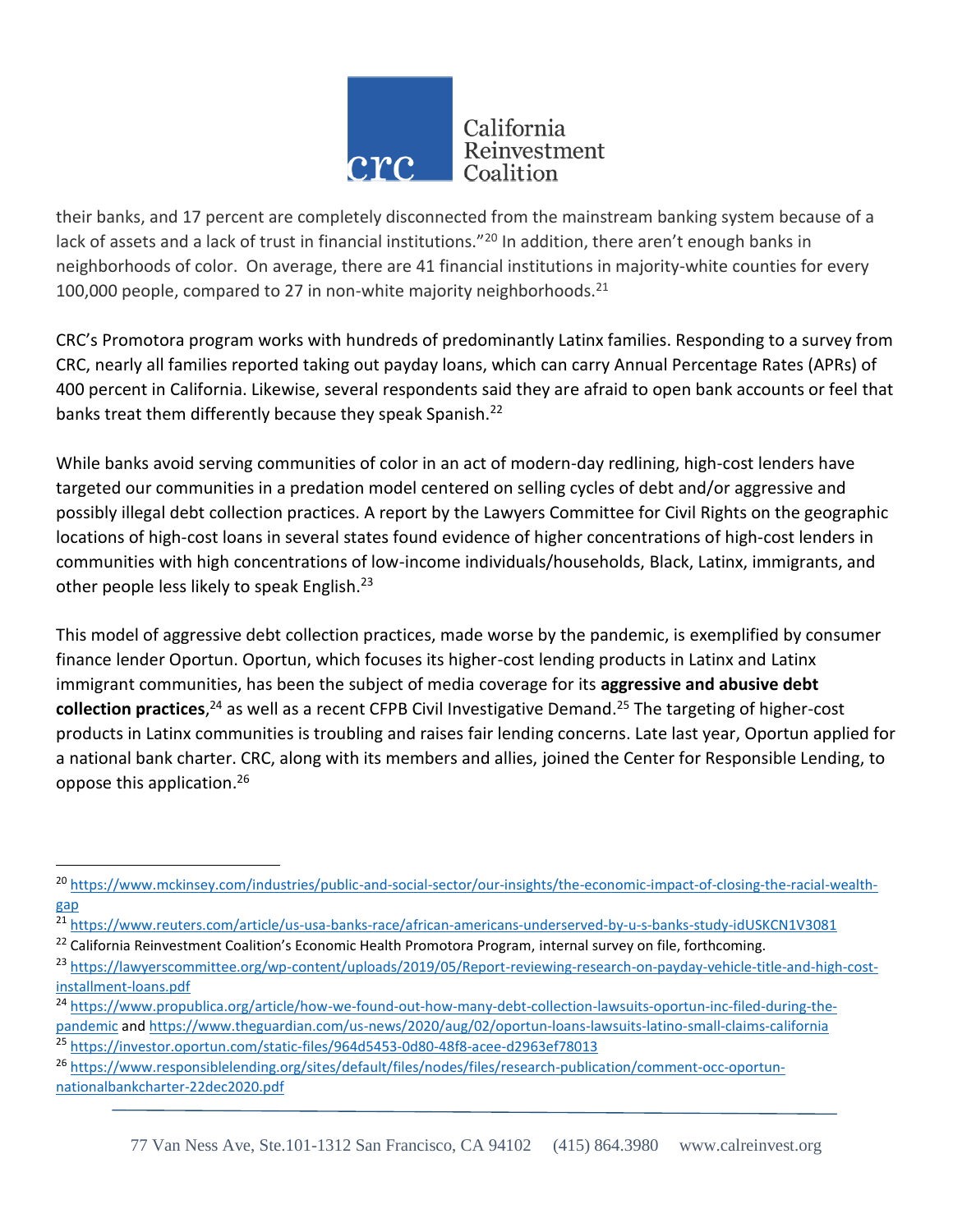

their banks, and 17 percent are completely disconnected from the mainstream banking system because of a lack of assets and a lack of trust in financial institutions."<sup>20</sup> In addition, there aren't enough banks in neighborhoods of color. On average, there are 41 financial institutions in majority-white counties for every 100,000 people, compared to 27 in non-white majority neighborhoods. $21$ 

CRC's Promotora program works with hundreds of predominantly Latinx families. Responding to a survey from CRC, nearly all families reported taking out payday loans, which can carry Annual Percentage Rates (APRs) of 400 percent in California. Likewise, several respondents said they are afraid to open bank accounts or feel that banks treat them differently because they speak Spanish.<sup>22</sup>

While banks avoid serving communities of color in an act of modern-day redlining, high-cost lenders have targeted our communities in a predation model centered on selling cycles of debt and/or aggressive and possibly illegal debt collection practices. A report by the Lawyers Committee for Civil Rights on the geographic locations of high-cost loans in several states found evidence of higher concentrations of high-cost lenders in communities with high concentrations of low-income individuals/households, Black, Latinx, immigrants, and other people less likely to speak English.<sup>23</sup>

This model of aggressive debt collection practices, made worse by the pandemic, is exemplified by consumer finance lender Oportun. Oportun, which focuses its higher-cost lending products in Latinx and Latinx immigrant communities, has been the subject of media coverage for its **aggressive and abusive debt collection practices**, <sup>24</sup> as well as a recent CFPB Civil Investigative Demand.<sup>25</sup> The targeting of higher-cost products in Latinx communities is troubling and raises fair lending concerns. Late last year, Oportun applied for a national bank charter. CRC, along with its members and allies, joined the Center for Responsible Lending, to oppose this application.<sup>26</sup>

<sup>&</sup>lt;sup>20</sup> [https://www.mckinsey.com/industries/public-and-social-sector/our-insights/the-economic-impact-of-closing-the-racial-wealth](https://www.mckinsey.com/industries/public-and-social-sector/our-insights/the-economic-impact-of-closing-the-racial-wealth-gap)[gap](https://www.mckinsey.com/industries/public-and-social-sector/our-insights/the-economic-impact-of-closing-the-racial-wealth-gap)

<sup>&</sup>lt;sup>21</sup> <https://www.reuters.com/article/us-usa-banks-race/african-americans-underserved-by-u-s-banks-study-idUSKCN1V3081>

<sup>&</sup>lt;sup>22</sup> California Reinvestment Coalition's Economic Health Promotora Program, internal survey on file, forthcoming.

<sup>23</sup> [https://lawyerscommittee.org/wp-content/uploads/2019/05/Report-reviewing-research-on-payday-vehicle-title-and-high-cost](https://lawyerscommittee.org/wp-content/uploads/2019/05/Report-reviewing-research-on-payday-vehicle-title-and-high-cost-installment-loans.pdf)[installment-loans.pdf](https://lawyerscommittee.org/wp-content/uploads/2019/05/Report-reviewing-research-on-payday-vehicle-title-and-high-cost-installment-loans.pdf)

<sup>&</sup>lt;sup>24</sup> [https://www.propublica.org/article/how-we-found-out-how-many-debt-collection-lawsuits-oportun-inc-filed-during-the](https://www.propublica.org/article/how-we-found-out-how-many-debt-collection-lawsuits-oportun-inc-filed-during-the-pandemic)[pandemic](https://www.propublica.org/article/how-we-found-out-how-many-debt-collection-lawsuits-oportun-inc-filed-during-the-pandemic) and<https://www.theguardian.com/us-news/2020/aug/02/oportun-loans-lawsuits-latino-small-claims-california> <sup>25</sup> <https://investor.oportun.com/static-files/964d5453-0d80-48f8-acee-d2963ef78013>

<sup>26</sup> [https://www.responsiblelending.org/sites/default/files/nodes/files/research-publication/comment-occ-oportun](https://www.responsiblelending.org/sites/default/files/nodes/files/research-publication/comment-occ-oportun-nationalbankcharter-22dec2020.pdf)[nationalbankcharter-22dec2020.pdf](https://www.responsiblelending.org/sites/default/files/nodes/files/research-publication/comment-occ-oportun-nationalbankcharter-22dec2020.pdf)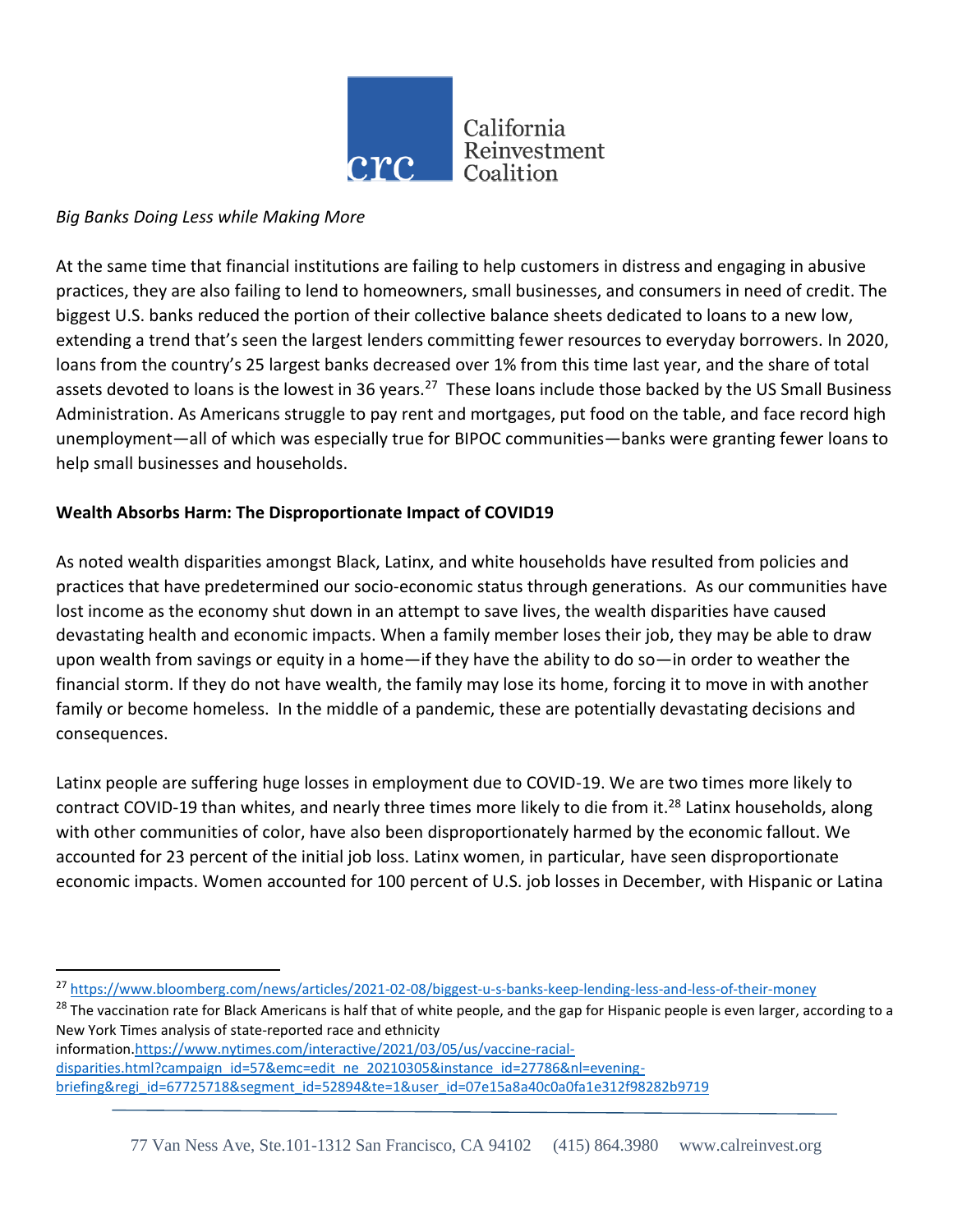

#### *Big Banks Doing Less while Making More*

l

At the same time that financial institutions are failing to help customers in distress and engaging in abusive practices, they are also failing to lend to homeowners, small businesses, and consumers in need of credit. The biggest U.S. banks reduced the portion of their collective balance sheets dedicated to loans to a new low, extending a trend that's seen the largest lenders committing fewer resources to everyday borrowers. In 2020, loans from the country's 25 largest banks decreased over 1% from this time last year, and the share of total assets devoted to loans is the lowest in 36 years.<sup>27</sup> These loans include those backed by the US Small Business Administration. As Americans struggle to pay rent and mortgages, put food on the table, and face record high unemployment—all of which was especially true for BIPOC communities—banks were granting fewer loans to help small businesses and households.

#### **Wealth Absorbs Harm: The Disproportionate Impact of COVID19**

As noted wealth disparities amongst Black, Latinx, and white households have resulted from policies and practices that have predetermined our socio-economic status through generations. As our communities have lost income as the economy shut down in an attempt to save lives, the wealth disparities have caused devastating health and economic impacts. When a family member loses their job, they may be able to draw upon wealth from savings or equity in a home—if they have the ability to do so—in order to weather the financial storm. If they do not have wealth, the family may lose its home, forcing it to move in with another family or become homeless. In the middle of a pandemic, these are potentially devastating decisions and consequences.

Latinx people are suffering huge losses in employment due to COVID-19. We are two times more likely to contract COVID-19 than whites, and nearly three times more likely to die from it.<sup>28</sup> Latinx households, along with other communities of color, have also been disproportionately harmed by the economic fallout. We accounted for 23 percent of the initial job loss. Latinx women, in particular, have seen disproportionate economic impacts. Women accounted for 100 percent of U.S. job losses in December, with Hispanic or Latina

<sup>28</sup> The vaccination rate for Black Americans is half that of white people, and the gap for Hispanic people is even larger, according to a New York Times analysis of state-reported race and ethnicity information[.https://www.nytimes.com/interactive/2021/03/05/us/vaccine-racial-](https://www.nytimes.com/interactive/2021/03/05/us/vaccine-racial-disparities.html?campaign_id=57&emc=edit_ne_20210305&instance_id=27786&nl=evening-briefing®i_id=67725718&segment_id=52894&te=1&user_id=07e15a8a40c0a0fa1e312f98282b9719)

[disparities.html?campaign\\_id=57&emc=edit\\_ne\\_20210305&instance\\_id=27786&nl=evening](https://www.nytimes.com/interactive/2021/03/05/us/vaccine-racial-disparities.html?campaign_id=57&emc=edit_ne_20210305&instance_id=27786&nl=evening-briefing®i_id=67725718&segment_id=52894&te=1&user_id=07e15a8a40c0a0fa1e312f98282b9719)[briefing&regi\\_id=67725718&segment\\_id=52894&te=1&user\\_id=07e15a8a40c0a0fa1e312f98282b9719](https://www.nytimes.com/interactive/2021/03/05/us/vaccine-racial-disparities.html?campaign_id=57&emc=edit_ne_20210305&instance_id=27786&nl=evening-briefing®i_id=67725718&segment_id=52894&te=1&user_id=07e15a8a40c0a0fa1e312f98282b9719)

<sup>27</sup> <https://www.bloomberg.com/news/articles/2021-02-08/biggest-u-s-banks-keep-lending-less-and-less-of-their-money>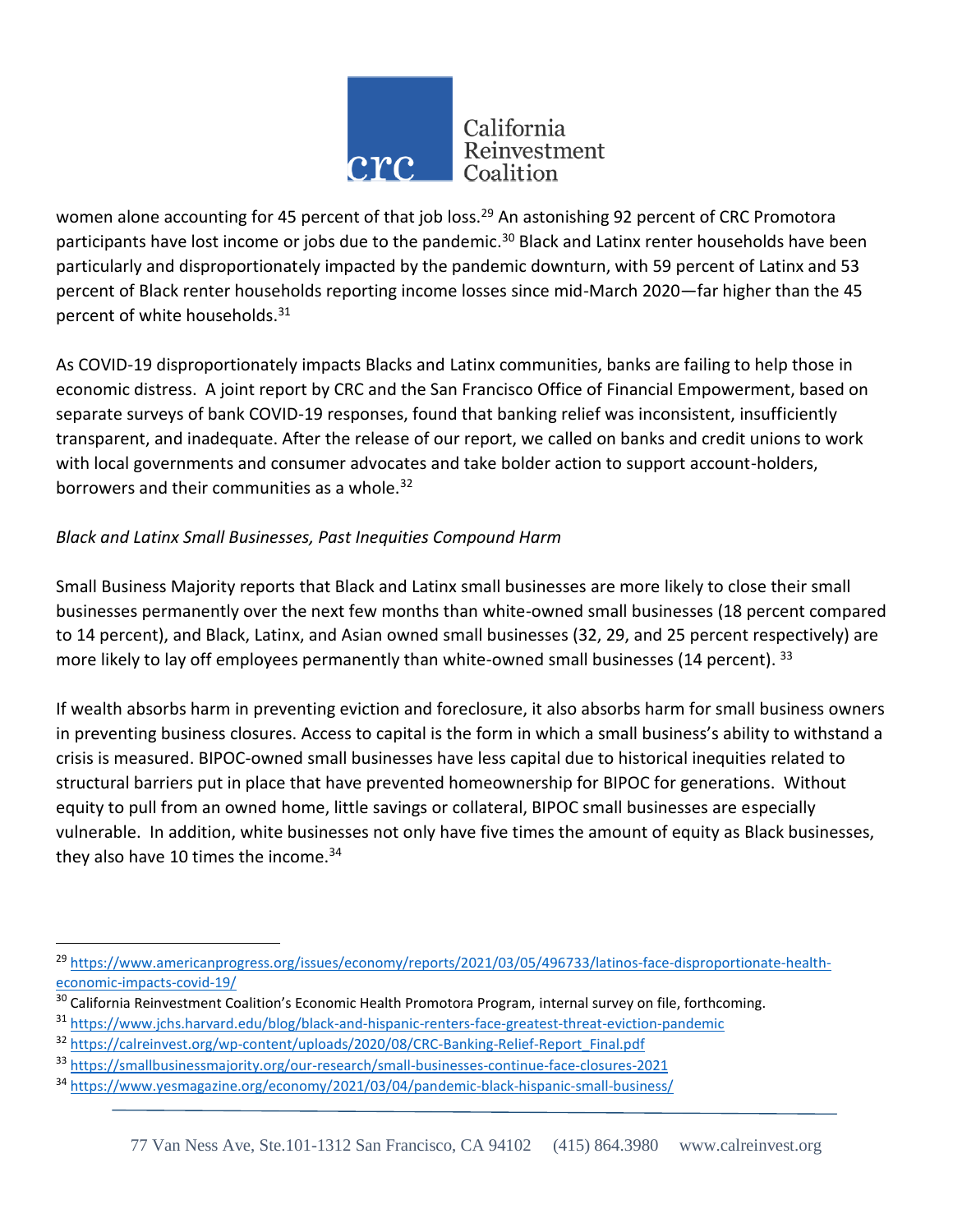

women alone accounting for 45 percent of that job loss.<sup>29</sup> An astonishing 92 percent of CRC Promotora participants have lost income or jobs due to the pandemic.<sup>30</sup> Black and Latinx renter households have been particularly and disproportionately impacted by the pandemic downturn, with 59 percent of Latinx and 53 percent of Black renter households reporting income losses since mid-March 2020—far higher than the 45 percent of white households.<sup>31</sup>

As COVID-19 disproportionately impacts Blacks and Latinx communities, banks are failing to help those in economic distress. A joint report by CRC and the San Francisco Office of Financial Empowerment, based on separate surveys of bank COVID-19 responses, found that banking relief was inconsistent, insufficiently transparent, and inadequate. After the release of our report, we called on banks and credit unions to work with local governments and consumer advocates and take bolder action to support account-holders, borrowers and their communities as a whole.<sup>32</sup>

## *Black and Latinx Small Businesses, Past Inequities Compound Harm*

Small Business Majority reports that Black and Latinx small businesses are more likely to close their small businesses permanently over the next few months than white-owned small businesses (18 percent compared to 14 percent), and Black, Latinx, and Asian owned small businesses (32, 29, and 25 percent respectively) are more likely to lay off employees permanently than white-owned small businesses (14 percent). 33

If wealth absorbs harm in preventing eviction and foreclosure, it also absorbs harm for small business owners in preventing business closures. Access to capital is the form in which a small business's ability to withstand a crisis is measured. BIPOC-owned small businesses have less capital due to historical inequities related to structural barriers put in place that have prevented homeownership for BIPOC for generations. Without equity to pull from an owned home, little savings or collateral, BIPOC small businesses are especially vulnerable. In addition, white businesses not only have five times the amount of equity as Black businesses, they also have 10 times the income. $34$ 

<sup>&</sup>lt;sup>29</sup> [https://www.americanprogress.org/issues/economy/reports/2021/03/05/496733/latinos-face-disproportionate-health](https://www.americanprogress.org/issues/economy/reports/2021/03/05/496733/latinos-face-disproportionate-health-economic-impacts-covid-19/)[economic-impacts-covid-19/](https://www.americanprogress.org/issues/economy/reports/2021/03/05/496733/latinos-face-disproportionate-health-economic-impacts-covid-19/)

<sup>&</sup>lt;sup>30</sup> California Reinvestment Coalition's Economic Health Promotora Program, internal survey on file, forthcoming.

<sup>31</sup> <https://www.jchs.harvard.edu/blog/black-and-hispanic-renters-face-greatest-threat-eviction-pandemic>

<sup>32</sup> [https://calreinvest.org/wp-content/uploads/2020/08/CRC-Banking-Relief-Report\\_Final.pdf](https://calreinvest.org/wp-content/uploads/2020/08/CRC-Banking-Relief-Report_Final.pdf)

<sup>33</sup> <https://smallbusinessmajority.org/our-research/small-businesses-continue-face-closures-2021>

<sup>34</sup> <https://www.yesmagazine.org/economy/2021/03/04/pandemic-black-hispanic-small-business/>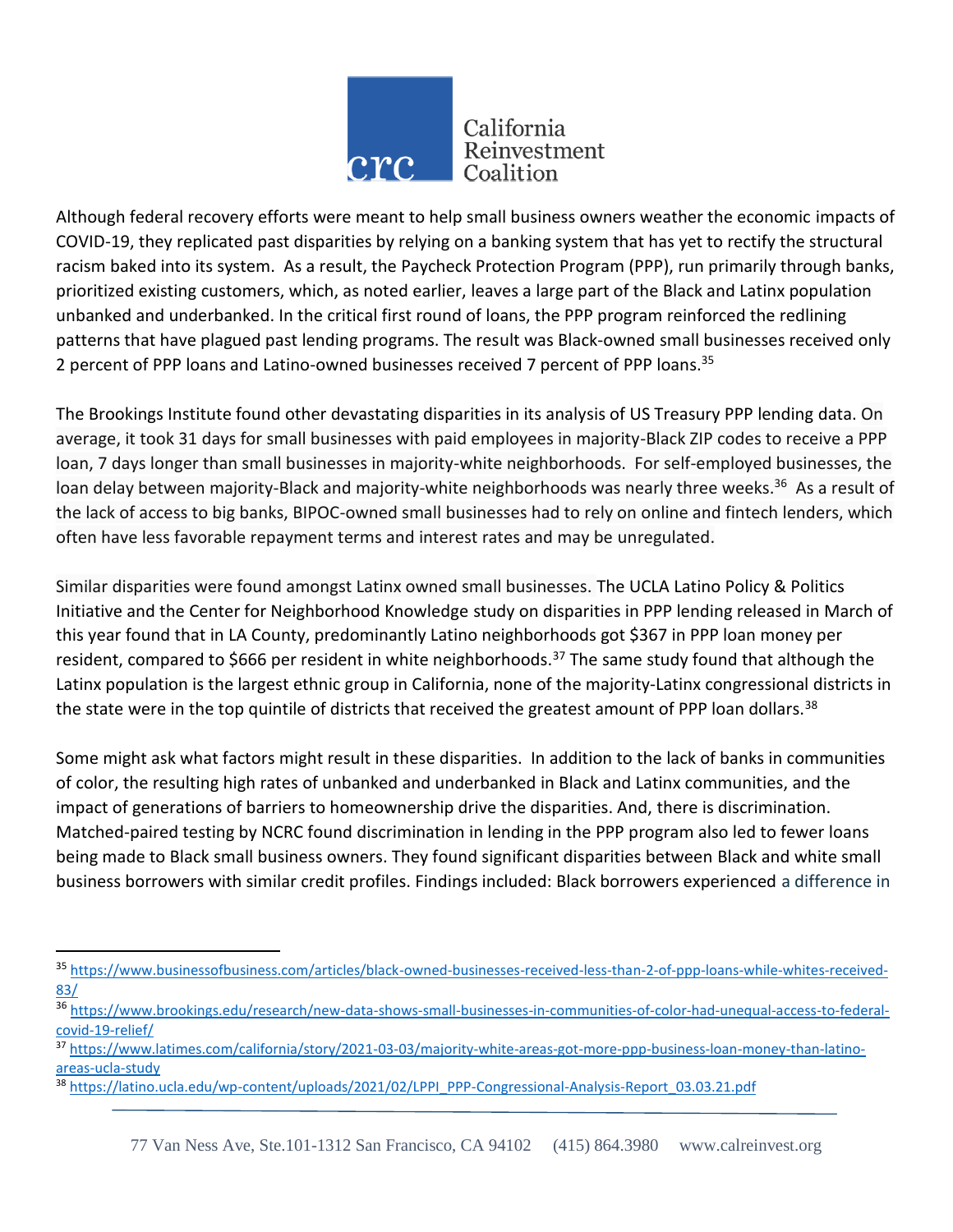

Although federal recovery efforts were meant to help small business owners weather the economic impacts of COVID-19, they replicated past disparities by relying on a banking system that has yet to rectify the structural racism baked into its system. As a result, the Paycheck Protection Program (PPP), run primarily through banks, prioritized existing customers, which, as noted earlier, leaves a large part of the Black and Latinx population unbanked and underbanked. In the critical first round of loans, the PPP program reinforced the redlining patterns that have plagued past lending programs. The result was Black-owned small businesses received only 2 percent of PPP loans and Latino-owned businesses received 7 percent of PPP loans.<sup>35</sup>

The Brookings Institute found other devastating disparities in its analysis of US Treasury PPP lending data. On average, it took 31 days for small businesses with paid employees in majority-Black ZIP codes to receive a PPP loan, 7 days longer than small businesses in majority-white neighborhoods. For self-employed businesses, the loan delay between majority-Black and majority-white neighborhoods was nearly three weeks.<sup>36</sup> As a result of the lack of access to big banks, BIPOC-owned small businesses had to rely on online and fintech lenders, which often have less favorable repayment terms and interest rates and may be unregulated.

Similar disparities were found amongst Latinx owned small businesses. The UCLA Latino Policy & Politics Initiative and the Center for Neighborhood Knowledge study on disparities in PPP lending released in March of this year found that in LA County, predominantly Latino neighborhoods got \$367 in PPP loan money per resident, compared to \$666 per resident in white neighborhoods.<sup>37</sup> The same study found that although the Latinx population is the largest ethnic group in California, none of the majority-Latinx congressional districts in the state were in the top quintile of districts that received the greatest amount of PPP loan dollars.<sup>38</sup>

Some might ask what factors might result in these disparities. In addition to the lack of banks in communities of color, the resulting high rates of unbanked and underbanked in Black and Latinx communities, and the impact of generations of barriers to homeownership drive the disparities. And, there is discrimination. Matched-paired testing by NCRC found discrimination in lending in the PPP program also led to fewer loans being made to Black small business owners. They found significant disparities between Black and white small business borrowers with similar credit profiles. Findings included: Black borrowers experienced a difference in

 $\overline{a}$ 

<sup>35</sup> [https://www.businessofbusiness.com/articles/black-owned-businesses-received-less-than-2-of-ppp-loans-while-whites-received-](https://www.businessofbusiness.com/articles/black-owned-businesses-received-less-than-2-of-ppp-loans-while-whites-received-83/)[83/](https://www.businessofbusiness.com/articles/black-owned-businesses-received-less-than-2-of-ppp-loans-while-whites-received-83/)

<sup>36</sup> [https://www.brookings.edu/research/new-data-shows-small-businesses-in-communities-of-color-had-unequal-access-to-federal](https://www.brookings.edu/research/new-data-shows-small-businesses-in-communities-of-color-had-unequal-access-to-federal-covid-19-relief/)[covid-19-relief/](https://www.brookings.edu/research/new-data-shows-small-businesses-in-communities-of-color-had-unequal-access-to-federal-covid-19-relief/)

<sup>37</sup> [https://www.latimes.com/california/story/2021-03-03/majority-white-areas-got-more-ppp-business-loan-money-than-latino](https://www.latimes.com/california/story/2021-03-03/majority-white-areas-got-more-ppp-business-loan-money-than-latino-areas-ucla-study)[areas-ucla-study](https://www.latimes.com/california/story/2021-03-03/majority-white-areas-got-more-ppp-business-loan-money-than-latino-areas-ucla-study)

<sup>38</sup> [https://latino.ucla.edu/wp-content/uploads/2021/02/LPPI\\_PPP-Congressional-Analysis-Report\\_03.03.21.pdf](https://latino.ucla.edu/wp-content/uploads/2021/02/LPPI_PPP-Congressional-Analysis-Report_03.03.21.pdf)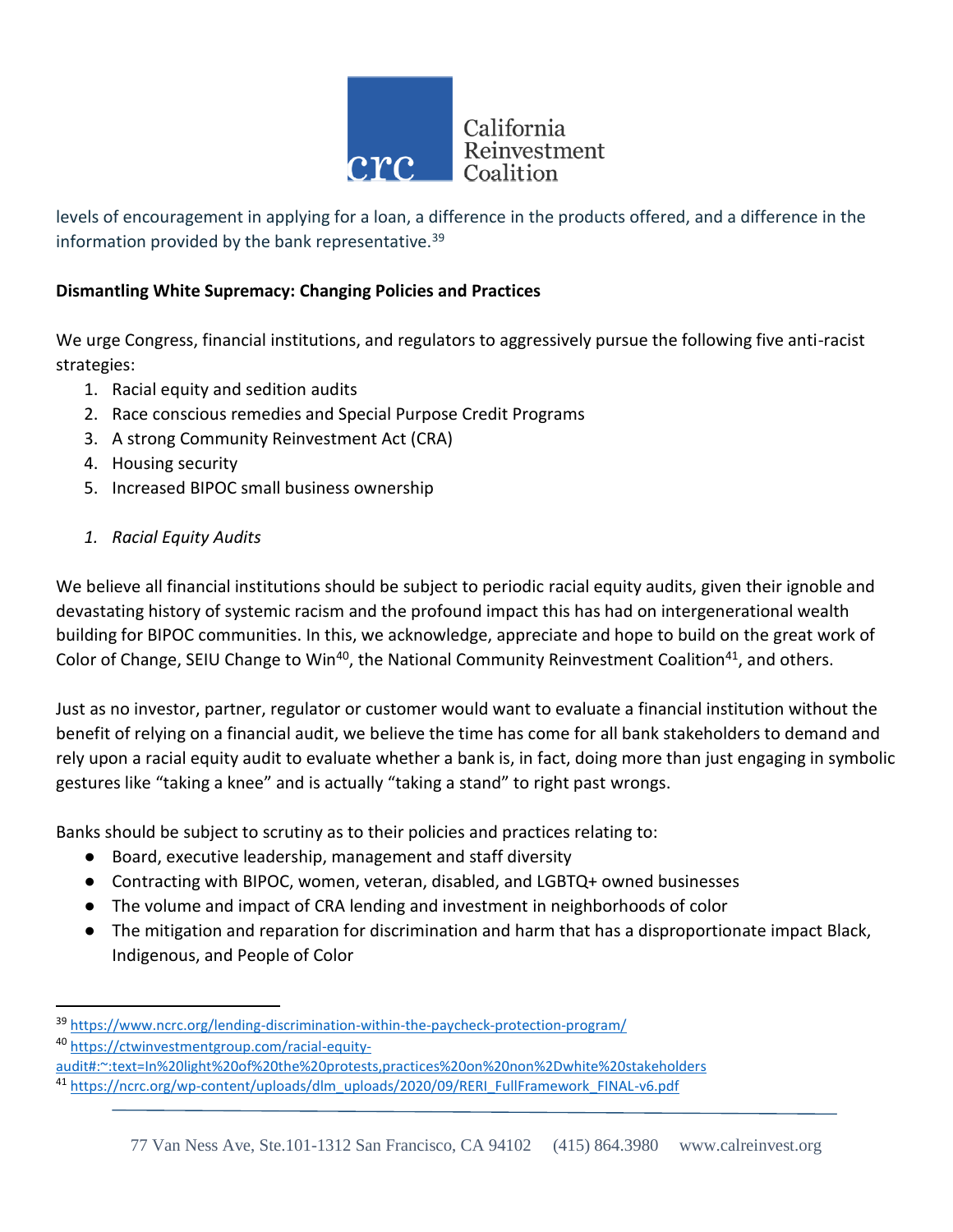

levels of encouragement in applying for a loan, a difference in the products offered, and a difference in the information provided by the bank representative.<sup>39</sup>

### **Dismantling White Supremacy: Changing Policies and Practices**

We urge Congress, financial institutions, and regulators to aggressively pursue the following five anti-racist strategies:

- 1. Racial equity and sedition audits
- 2. Race conscious remedies and Special Purpose Credit Programs
- 3. A strong Community Reinvestment Act (CRA)
- 4. Housing security
- 5. Increased BIPOC small business ownership
- *1. Racial Equity Audits*

We believe all financial institutions should be subject to periodic racial equity audits, given their ignoble and devastating history of systemic racism and the profound impact this has had on intergenerational wealth building for BIPOC communities. In this, we acknowledge, appreciate and hope to build on the great work of Color of Change, SEIU Change to Win<sup>40</sup>, the National Community Reinvestment Coalition<sup>41</sup>, and others.

Just as no investor, partner, regulator or customer would want to evaluate a financial institution without the benefit of relying on a financial audit, we believe the time has come for all bank stakeholders to demand and rely upon a racial equity audit to evaluate whether a bank is, in fact, doing more than just engaging in symbolic gestures like "taking a knee" and is actually "taking a stand" to right past wrongs.

Banks should be subject to scrutiny as to their policies and practices relating to:

- Board, executive leadership, management and staff diversity
- Contracting with BIPOC, women, veteran, disabled, and LGBTQ+ owned businesses
- The volume and impact of CRA lending and investment in neighborhoods of color
- The mitigation and reparation for discrimination and harm that has a disproportionate impact Black, Indigenous, and People of Color

<sup>&</sup>lt;sup>39</sup> <https://www.ncrc.org/lending-discrimination-within-the-paycheck-protection-program/>

<sup>40</sup> [https://ctwinvestmentgroup.com/racial-equity-](https://ctwinvestmentgroup.com/racial-equity-audit#:~:text=In%20light%20of%20the%20protests,practices%20on%20non%2Dwhite%20stakeholders)

[audit#:~:text=In%20light%20of%20the%20protests,practices%20on%20non%2Dwhite%20stakeholders](https://ctwinvestmentgroup.com/racial-equity-audit#:~:text=In%20light%20of%20the%20protests,practices%20on%20non%2Dwhite%20stakeholders)

<sup>&</sup>lt;sup>41</sup> [https://ncrc.org/wp-content/uploads/dlm\\_uploads/2020/09/RERI\\_FullFramework\\_FINAL-v6.pdf](https://ncrc.org/wp-content/uploads/dlm_uploads/2020/09/RERI_FullFramework_FINAL-v6.pdf)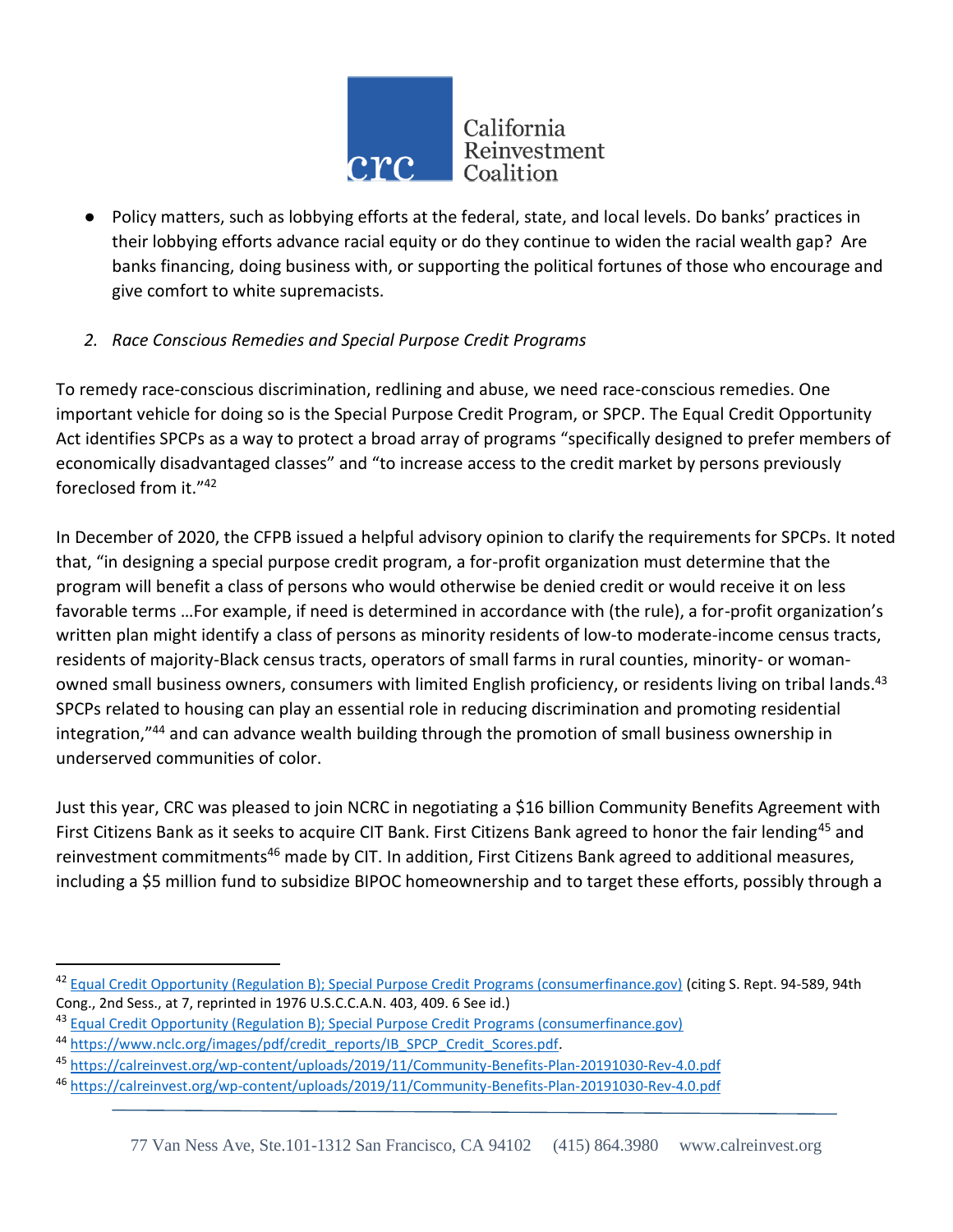

● Policy matters, such as lobbying efforts at the federal, state, and local levels. Do banks' practices in their lobbying efforts advance racial equity or do they continue to widen the racial wealth gap? Are banks financing, doing business with, or supporting the political fortunes of those who encourage and give comfort to white supremacists.

## *2. Race Conscious Remedies and Special Purpose Credit Programs*

To remedy race-conscious discrimination, redlining and abuse, we need race-conscious remedies. One important vehicle for doing so is the Special Purpose Credit Program, or SPCP. The Equal Credit Opportunity Act identifies SPCPs as a way to protect a broad array of programs "specifically designed to prefer members of economically disadvantaged classes" and "to increase access to the credit market by persons previously foreclosed from it."<sup>42</sup>

In December of 2020, the CFPB issued a helpful advisory opinion to clarify the requirements for SPCPs. It noted that, "in designing a special purpose credit program, a for-profit organization must determine that the program will benefit a class of persons who would otherwise be denied credit or would receive it on less favorable terms …For example, if need is determined in accordance with (the rule), a for-profit organization's written plan might identify a class of persons as minority residents of low-to moderate-income census tracts, residents of majority-Black census tracts, operators of small farms in rural counties, minority- or womanowned small business owners, consumers with limited English proficiency, or residents living on tribal lands.<sup>43</sup> SPCPs related to housing can play an essential role in reducing discrimination and promoting residential integration,"<sup>44</sup> and can advance wealth building through the promotion of small business ownership in underserved communities of color.

Just this year, CRC was pleased to join NCRC in negotiating a \$16 billion Community Benefits Agreement with First Citizens Bank as it seeks to acquire CIT Bank. First Citizens Bank agreed to honor the fair lending<sup>45</sup> and reinvestment commitments<sup>46</sup> made by CIT. In addition, First Citizens Bank agreed to additional measures, including a \$5 million fund to subsidize BIPOC homeownership and to target these efforts, possibly through a

<sup>&</sup>lt;sup>42</sup> [Equal Credit Opportunity \(Regulation B\); Special Purpose Credit Programs \(consumerfinance.gov\)](https://files.consumerfinance.gov/f/documents/cfpb_advisory-opinion_special-purpose-credit-program_2020-12.pdf) (citing S. Rept. 94-589, 94th Cong., 2nd Sess., at 7, reprinted in 1976 U.S.C.C.A.N. 403, 409. 6 See id.)

<sup>43</sup> [Equal Credit Opportunity \(Regulation B\); Special Purpose Credit Programs \(consumerfinance.gov\)](https://files.consumerfinance.gov/f/documents/cfpb_advisory-opinion_special-purpose-credit-program_2020-12.pdf)

<sup>44</sup> [https://www.nclc.org/images/pdf/credit\\_reports/IB\\_SPCP\\_Credit\\_Scores.pdf.](https://www.nclc.org/images/pdf/credit_reports/IB_SPCP_Credit_Scores.pdf)

<sup>45</sup> <https://calreinvest.org/wp-content/uploads/2019/11/Community-Benefits-Plan-20191030-Rev-4.0.pdf>

<sup>46</sup> <https://calreinvest.org/wp-content/uploads/2019/11/Community-Benefits-Plan-20191030-Rev-4.0.pdf>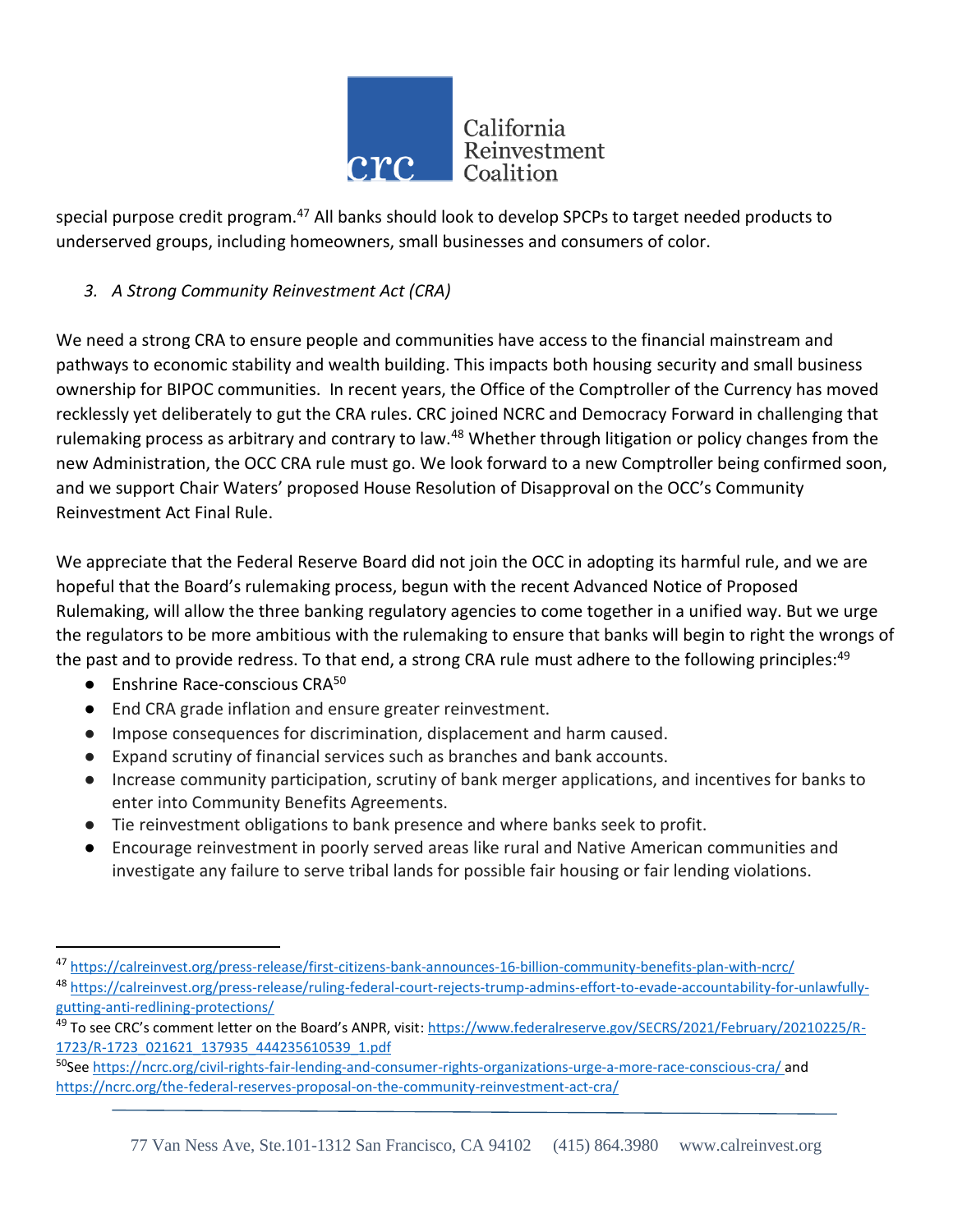

special purpose credit program.<sup>47</sup> All banks should look to develop SPCPs to target needed products to underserved groups, including homeowners, small businesses and consumers of color.

## *3. A Strong Community Reinvestment Act (CRA)*

We need a strong CRA to ensure people and communities have access to the financial mainstream and pathways to economic stability and wealth building. This impacts both housing security and small business ownership for BIPOC communities. In recent years, the Office of the Comptroller of the Currency has moved recklessly yet deliberately to gut the CRA rules. CRC joined NCRC and Democracy Forward in challenging that rulemaking process as arbitrary and contrary to law.<sup>48</sup> Whether through litigation or policy changes from the new Administration, the OCC CRA rule must go. We look forward to a new Comptroller being confirmed soon, and we support Chair Waters' proposed House Resolution of Disapproval on the OCC's Community Reinvestment Act Final Rule.

We appreciate that the Federal Reserve Board did not join the OCC in adopting its harmful rule, and we are hopeful that the Board's rulemaking process, begun with the recent Advanced Notice of Proposed Rulemaking, will allow the three banking regulatory agencies to come together in a unified way. But we urge the regulators to be more ambitious with the rulemaking to ensure that banks will begin to right the wrongs of the past and to provide redress. To that end, a strong CRA rule must adhere to the following principles:<sup>49</sup>

 $\bullet$  Enshrine Race-conscious CRA<sup>50</sup>

l

- End CRA grade inflation and ensure greater reinvestment.
- Impose consequences for discrimination, displacement and harm caused.
- Expand scrutiny of financial services such as branches and bank accounts.
- Increase community participation, scrutiny of bank merger applications, and incentives for banks to enter into Community Benefits Agreements.
- Tie reinvestment obligations to bank presence and where banks seek to profit.
- Encourage reinvestment in poorly served areas like rural and Native American communities and investigate any failure to serve tribal lands for possible fair housing or fair lending violations.

<sup>50</sup>See<https://ncrc.org/civil-rights-fair-lending-and-consumer-rights-organizations-urge-a-more-race-conscious-cra/> and https://ncrc.org/the-federal-reserves-proposal-on-the-community-reinvestment-act-cra/

<sup>47</sup> <https://calreinvest.org/press-release/first-citizens-bank-announces-16-billion-community-benefits-plan-with-ncrc/> <sup>48</sup> [https://calreinvest.org/press-release/ruling-federal-court-rejects-trump-admins-effort-to-evade-accountability-for-unlawfully](https://calreinvest.org/press-release/ruling-federal-court-rejects-trump-admins-effort-to-evade-accountability-for-unlawfully-gutting-anti-redlining-protections/)[gutting-anti-redlining-protections/](https://calreinvest.org/press-release/ruling-federal-court-rejects-trump-admins-effort-to-evade-accountability-for-unlawfully-gutting-anti-redlining-protections/)

<sup>&</sup>lt;sup>49</sup> To see CRC's comment letter on the Board's ANPR, visit: [https://www.federalreserve.gov/SECRS/2021/February/20210225/R-](https://www.federalreserve.gov/SECRS/2021/February/20210225/R-1723/R-1723_021621_137935_444235610539_1.pdf)[1723/R-1723\\_021621\\_137935\\_444235610539\\_1.pdf](https://www.federalreserve.gov/SECRS/2021/February/20210225/R-1723/R-1723_021621_137935_444235610539_1.pdf)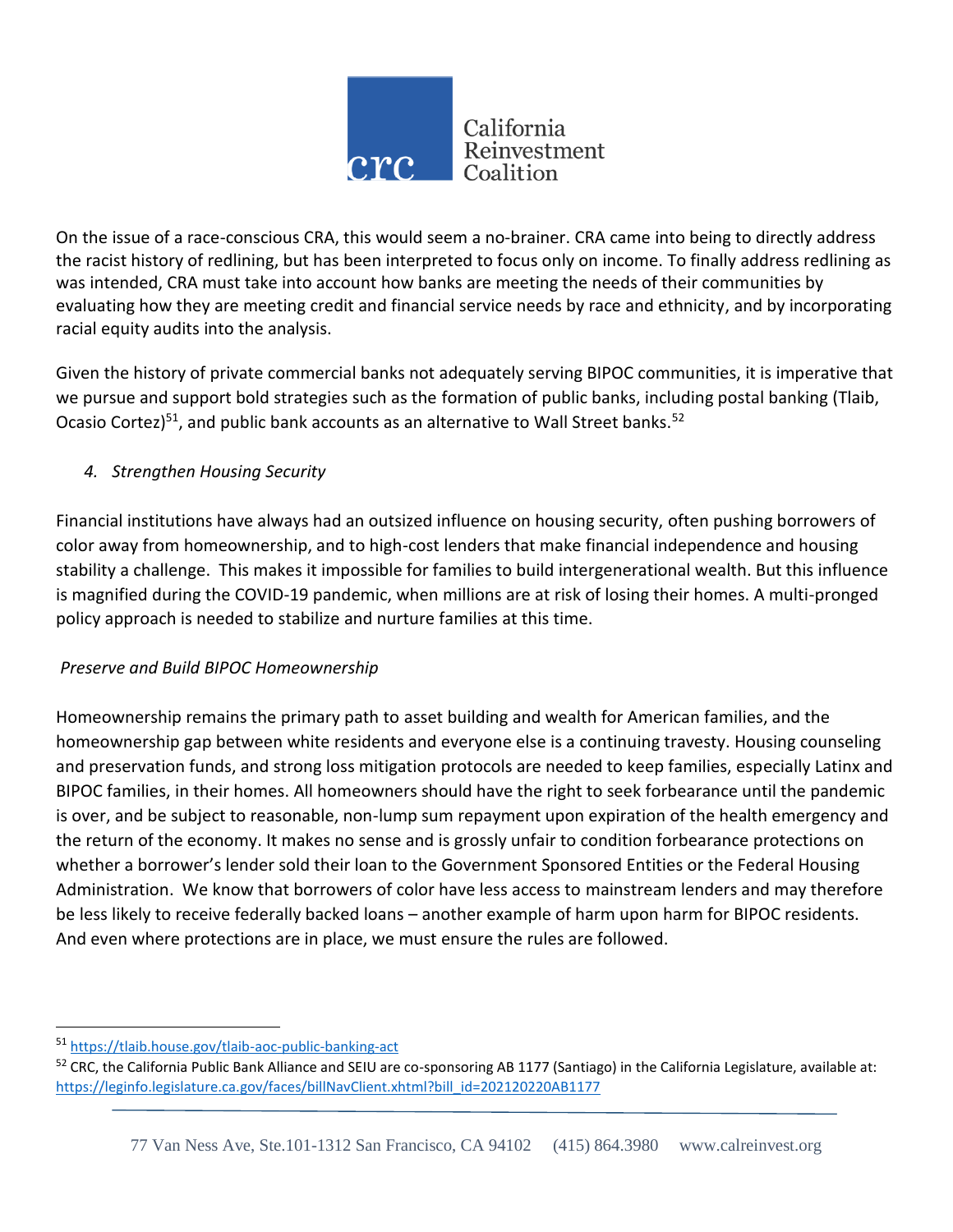

On the issue of a race-conscious CRA, this would seem a no-brainer. CRA came into being to directly address the racist history of redlining, but has been interpreted to focus only on income. To finally address redlining as was intended, CRA must take into account how banks are meeting the needs of their communities by evaluating how they are meeting credit and financial service needs by race and ethnicity, and by incorporating racial equity audits into the analysis.

Given the history of private commercial banks not adequately serving BIPOC communities, it is imperative that we pursue and support bold strategies such as the formation of public banks, including postal banking (Tlaib, Ocasio Cortez) $51$ , and public bank accounts as an alternative to Wall Street banks.  $52$ 

## *4. Strengthen Housing Security*

Financial institutions have always had an outsized influence on housing security, often pushing borrowers of color away from homeownership, and to high-cost lenders that make financial independence and housing stability a challenge. This makes it impossible for families to build intergenerational wealth. But this influence is magnified during the COVID-19 pandemic, when millions are at risk of losing their homes. A multi-pronged policy approach is needed to stabilize and nurture families at this time.

## *Preserve and Build BIPOC Homeownership*

Homeownership remains the primary path to asset building and wealth for American families, and the homeownership gap between white residents and everyone else is a continuing travesty. Housing counseling and preservation funds, and strong loss mitigation protocols are needed to keep families, especially Latinx and BIPOC families, in their homes. All homeowners should have the right to seek forbearance until the pandemic is over, and be subject to reasonable, non-lump sum repayment upon expiration of the health emergency and the return of the economy. It makes no sense and is grossly unfair to condition forbearance protections on whether a borrower's lender sold their loan to the Government Sponsored Entities or the Federal Housing Administration. We know that borrowers of color have less access to mainstream lenders and may therefore be less likely to receive federally backed loans – another example of harm upon harm for BIPOC residents. And even where protections are in place, we must ensure the rules are followed.

 $\overline{a}$ 

<sup>51</sup> <https://tlaib.house.gov/tlaib-aoc-public-banking-act>

<sup>52</sup> CRC, the California Public Bank Alliance and SEIU are co-sponsoring AB 1177 (Santiago) in the California Legislature, available at: [https://leginfo.legislature.ca.gov/faces/billNavClient.xhtml?bill\\_id=202120220AB1177](https://leginfo.legislature.ca.gov/faces/billNavClient.xhtml?bill_id=202120220AB1177)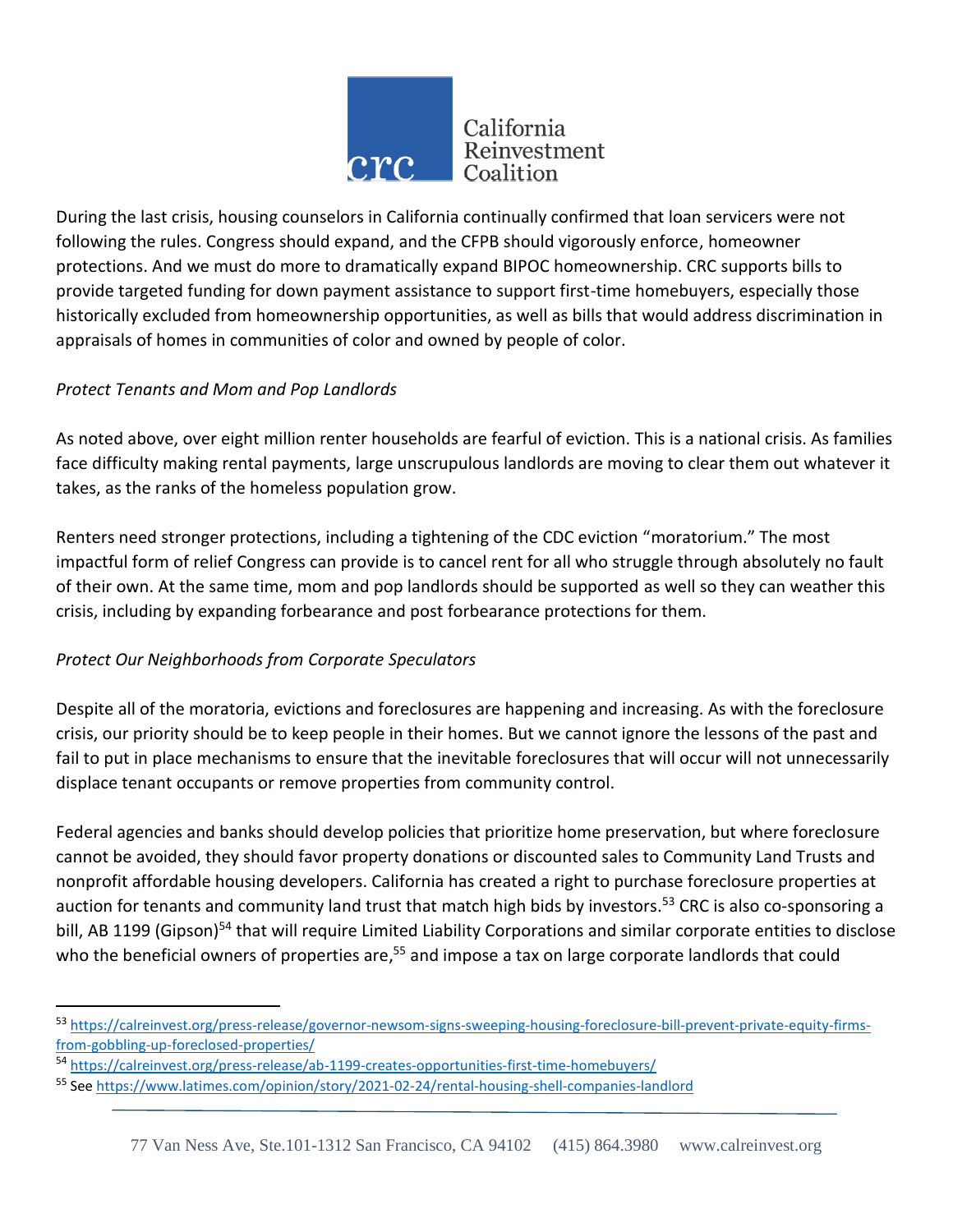

During the last crisis, housing counselors in California continually confirmed that loan servicers were not following the rules. Congress should expand, and the CFPB should vigorously enforce, homeowner protections. And we must do more to dramatically expand BIPOC homeownership. CRC supports bills to provide targeted funding for down payment assistance to support first-time homebuyers, especially those historically excluded from homeownership opportunities, as well as bills that would address discrimination in appraisals of homes in communities of color and owned by people of color.

## *Protect Tenants and Mom and Pop Landlords*

As noted above, over eight million renter households are fearful of eviction. This is a national crisis. As families face difficulty making rental payments, large unscrupulous landlords are moving to clear them out whatever it takes, as the ranks of the homeless population grow.

Renters need stronger protections, including a tightening of the CDC eviction "moratorium." The most impactful form of relief Congress can provide is to cancel rent for all who struggle through absolutely no fault of their own. At the same time, mom and pop landlords should be supported as well so they can weather this crisis, including by expanding forbearance and post forbearance protections for them.

### *Protect Our Neighborhoods from Corporate Speculators*

 $\overline{\phantom{a}}$ 

Despite all of the moratoria, evictions and foreclosures are happening and increasing. As with the foreclosure crisis, our priority should be to keep people in their homes. But we cannot ignore the lessons of the past and fail to put in place mechanisms to ensure that the inevitable foreclosures that will occur will not unnecessarily displace tenant occupants or remove properties from community control.

Federal agencies and banks should develop policies that prioritize home preservation, but where foreclosure cannot be avoided, they should favor property donations or discounted sales to Community Land Trusts and nonprofit affordable housing developers. California has created a right to purchase foreclosure properties at auction for tenants and community land trust that match high bids by investors.<sup>53</sup> CRC is also co-sponsoring a bill, AB 1199 (Gipson)<sup>54</sup> that will require Limited Liability Corporations and similar corporate entities to disclose who the beneficial owners of properties are,<sup>55</sup> and impose a tax on large corporate landlords that could

<sup>53</sup> [https://calreinvest.org/press-release/governor-newsom-signs-sweeping-housing-foreclosure-bill-prevent-private-equity-firms](https://calreinvest.org/press-release/governor-newsom-signs-sweeping-housing-foreclosure-bill-prevent-private-equity-firms-from-gobbling-up-foreclosed-properties/)[from-gobbling-up-foreclosed-properties/](https://calreinvest.org/press-release/governor-newsom-signs-sweeping-housing-foreclosure-bill-prevent-private-equity-firms-from-gobbling-up-foreclosed-properties/)

<sup>54</sup> <https://calreinvest.org/press-release/ab-1199-creates-opportunities-first-time-homebuyers/>

<sup>55</sup> See<https://www.latimes.com/opinion/story/2021-02-24/rental-housing-shell-companies-landlord>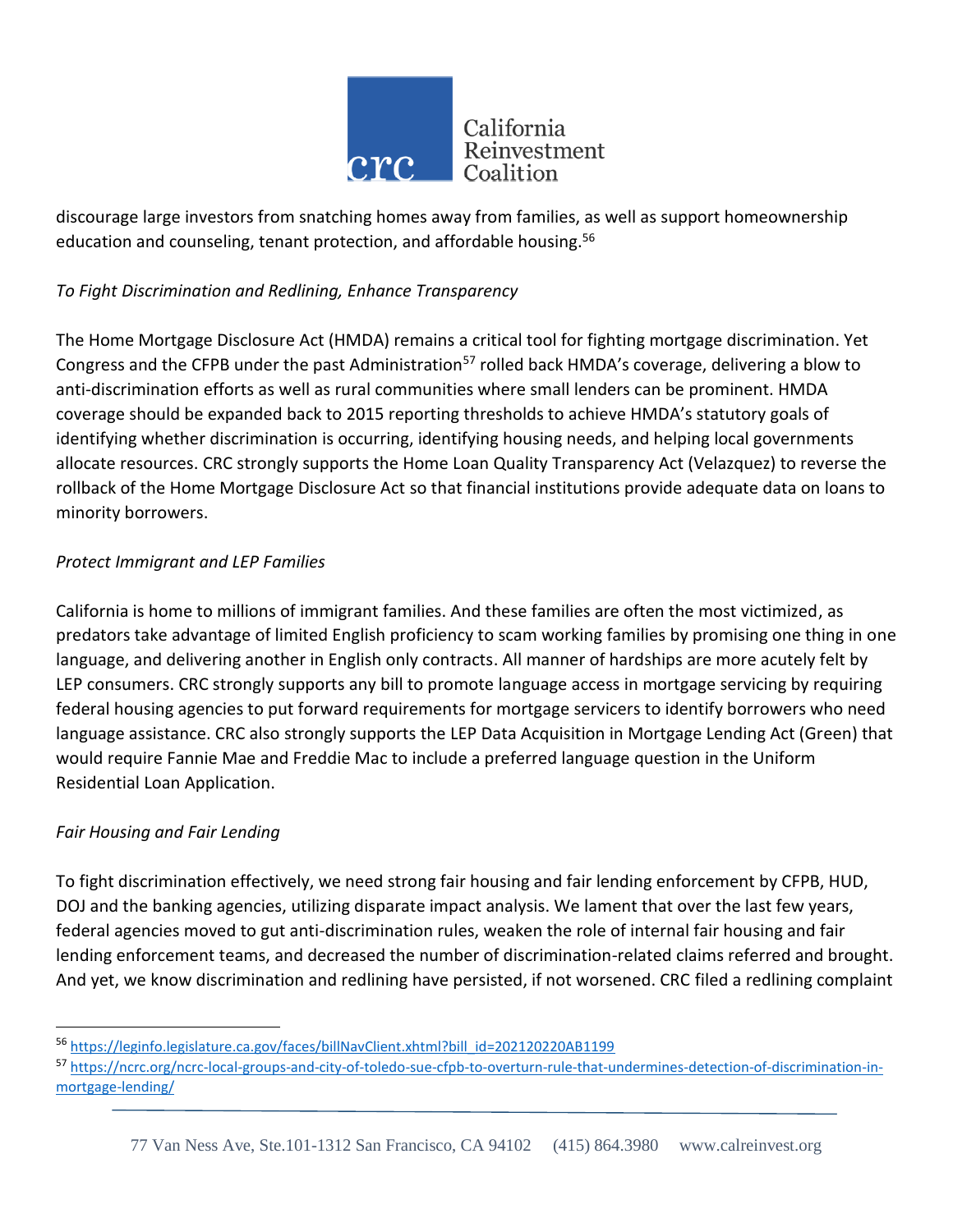

discourage large investors from snatching homes away from families, as well as support homeownership education and counseling, tenant protection, and affordable housing.<sup>56</sup>

## *To Fight Discrimination and Redlining, Enhance Transparency*

The Home Mortgage Disclosure Act (HMDA) remains a critical tool for fighting mortgage discrimination. Yet Congress and the CFPB under the past Administration<sup>57</sup> rolled back HMDA's coverage, delivering a blow to anti-discrimination efforts as well as rural communities where small lenders can be prominent. HMDA coverage should be expanded back to 2015 reporting thresholds to achieve HMDA's statutory goals of identifying whether discrimination is occurring, identifying housing needs, and helping local governments allocate resources. CRC strongly supports the Home Loan Quality Transparency Act (Velazquez) to reverse the rollback of the Home Mortgage Disclosure Act so that financial institutions provide adequate data on loans to minority borrowers.

### *Protect Immigrant and LEP Families*

California is home to millions of immigrant families. And these families are often the most victimized, as predators take advantage of limited English proficiency to scam working families by promising one thing in one language, and delivering another in English only contracts. All manner of hardships are more acutely felt by LEP consumers. CRC strongly supports any bill to promote language access in mortgage servicing by requiring federal housing agencies to put forward requirements for mortgage servicers to identify borrowers who need language assistance. CRC also strongly supports the LEP Data Acquisition in Mortgage Lending Act (Green) that would require Fannie Mae and Freddie Mac to include a preferred language question in the Uniform Residential Loan Application.

### *Fair Housing and Fair Lending*

 $\overline{a}$ 

To fight discrimination effectively, we need strong fair housing and fair lending enforcement by CFPB, HUD, DOJ and the banking agencies, utilizing disparate impact analysis. We lament that over the last few years, federal agencies moved to gut anti-discrimination rules, weaken the role of internal fair housing and fair lending enforcement teams, and decreased the number of discrimination-related claims referred and brought. And yet, we know discrimination and redlining have persisted, if not worsened. CRC filed a redlining complaint

<sup>56</sup> [https://leginfo.legislature.ca.gov/faces/billNavClient.xhtml?bill\\_id=202120220AB1199](https://leginfo.legislature.ca.gov/faces/billNavClient.xhtml?bill_id=202120220AB1199)

<sup>57</sup> [https://ncrc.org/ncrc-local-groups-and-city-of-toledo-sue-cfpb-to-overturn-rule-that-undermines-detection-of-discrimination-in](https://ncrc.org/ncrc-local-groups-and-city-of-toledo-sue-cfpb-to-overturn-rule-that-undermines-detection-of-discrimination-in-mortgage-lending/)[mortgage-lending/](https://ncrc.org/ncrc-local-groups-and-city-of-toledo-sue-cfpb-to-overturn-rule-that-undermines-detection-of-discrimination-in-mortgage-lending/)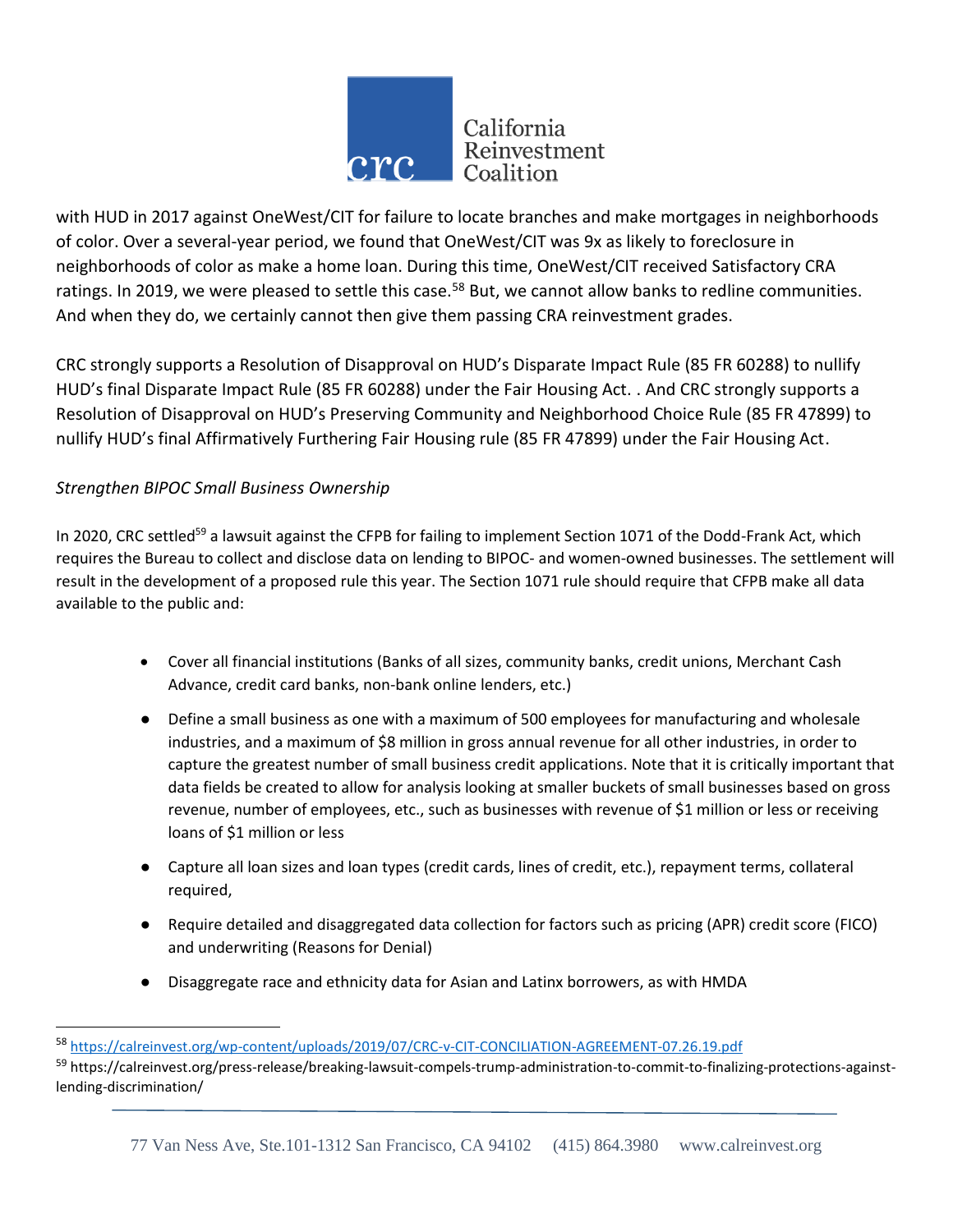

with HUD in 2017 against OneWest/CIT for failure to locate branches and make mortgages in neighborhoods of color. Over a several-year period, we found that OneWest/CIT was 9x as likely to foreclosure in neighborhoods of color as make a home loan. During this time, OneWest/CIT received Satisfactory CRA ratings. In 2019, we were pleased to settle this case.<sup>58</sup> But, we cannot allow banks to redline communities. And when they do, we certainly cannot then give them passing CRA reinvestment grades.

CRC strongly supports a Resolution of Disapproval on HUD's Disparate Impact Rule (85 FR 60288) to nullify HUD's final Disparate Impact Rule (85 FR 60288) under the Fair Housing Act. . And CRC strongly supports a Resolution of Disapproval on HUD's Preserving Community and Neighborhood Choice Rule (85 FR 47899) to nullify HUD's final Affirmatively Furthering Fair Housing rule (85 FR 47899) under the Fair Housing Act.

### *Strengthen BIPOC Small Business Ownership*

 $\overline{a}$ 

In 2020, CRC settled<sup>59</sup> a lawsuit against the CFPB for failing to implement Section 1071 of the Dodd-Frank Act, which requires the Bureau to collect and disclose data on lending to BIPOC- and women-owned businesses. The settlement will result in the development of a proposed rule this year. The Section 1071 rule should require that CFPB make all data available to the public and:

- Cover all financial institutions (Banks of all sizes, community banks, credit unions, Merchant Cash Advance, credit card banks, non-bank online lenders, etc.)
- Define a small business as one with a maximum of 500 employees for manufacturing and wholesale industries, and a maximum of \$8 million in gross annual revenue for all other industries, in order to capture the greatest number of small business credit applications. Note that it is critically important that data fields be created to allow for analysis looking at smaller buckets of small businesses based on gross revenue, number of employees, etc., such as businesses with revenue of \$1 million or less or receiving loans of \$1 million or less
- Capture all loan sizes and loan types (credit cards, lines of credit, etc.), repayment terms, collateral required,
- Require detailed and disaggregated data collection for factors such as pricing (APR) credit score (FICO) and underwriting (Reasons for Denial)
- Disaggregate race and ethnicity data for Asian and Latinx borrowers, as with HMDA

<sup>58</sup> <https://calreinvest.org/wp-content/uploads/2019/07/CRC-v-CIT-CONCILIATION-AGREEMENT-07.26.19.pdf>

<sup>&</sup>lt;sup>59</sup> https://calreinvest.org/press-release/breaking-lawsuit-compels-trump-administration-to-commit-to-finalizing-protections-againstlending-discrimination/